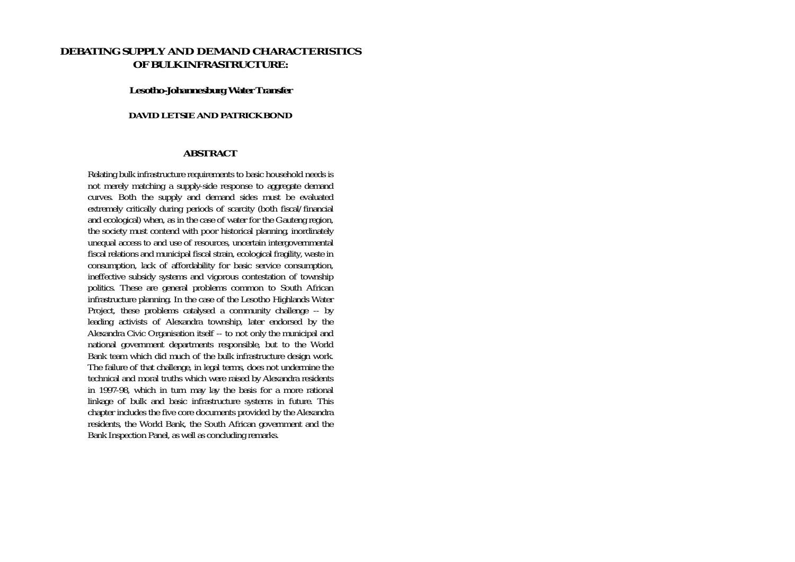## **DEBATING SUPPLY AND DEMAND CHARACTERISTICS OF BULK INFRASTRUCTURE:**

## **Lesotho-Johannesburg Water Transfer**

#### **DAVID LETSIE AND PATRICK BOND**

#### **ABSTRACT**

Relating bulk infrastructure requirements to basic household needs is not merely matching a supply-side response to aggregate demand curves. Both the supply and demand sides must be evaluated extremely critically during periods of scarcity (both fiscal/financial and ecological) when, as in the case of water for the Gauteng region, the society must contend with poor historical planning, inordinately unequal access to and use of resources, uncertain intergovernmental fiscal relations and municipal fiscal strain, ecological fragility, waste in consumption, lack of affordability for basic service consumption, ineffective subsidy systems and vigorous contestation of township politics. These are general problems common to South African infrastructure planning. In the case of the Lesotho Highlands Water Project, these problems catalysed a community challenge -- by leading activists of Alexandra township, later endorsed by the Alexandra Civic Organisation itself -- to not only the municipal and national government departments responsible, but to the World Bank team which did much of the bulk infrastructure design work. The failure of that challenge, in legal terms, does not undermine the technical and moral truths which were raised by Alexandra residents in 1997-98, which in turn may lay the basis for a more rational linkage of bulk and basic infrastructure systems in future. This chapter includes the five core documents provided by the Alexandra residents, the World Bank, the South African government and the Bank Inspection Panel, as well as concluding remarks.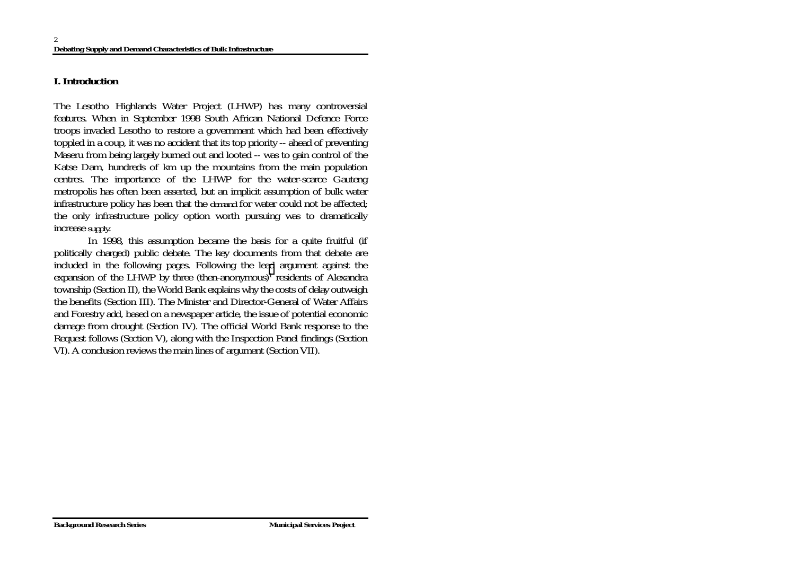## **I. Introduction**

The Lesotho Highlands Water Project (LHWP) has many controversial features. When in September 1998 South African National Defence Force troops invaded Lesotho to restore a government which had been effectively toppled in a coup, it was no accident that its top priority -- ahead of preventing Maseru from being largely burned out and looted -- was to gain control of the Katse Dam, hundreds of km up the mountains from the main population centres. The importance of the LHWP for the water-scarce Gauteng metropolis has often been asserted, but an implicit assumption of bulk water infrastructure policy has been that the *demand* for water could not be affected; the only infrastructure policy option worth pursuing was to dramatically increase *supply*.

 In 1998, this assumption became the basis for a quite fruitful (if politically charged) public debate. The key documents from that debate are included in the following pages. Following the le[ad](#page-75-0) argument against the expansion of the LHWP by three (then-anonymous)<sup>1</sup> residents of Alexandra township (Section II), the World Bank explains why the costs of delay outweigh the benefits (Section III). The Minister and Director-General of Water Affairs and Forestry add, based on a newspaper article, the issue of potential economic damage from drought (Section IV). The official World Bank response to the Request follows (Section V), along with the Inspection Panel findings (Section VI). A conclusion reviews the main lines of argument (Section VII).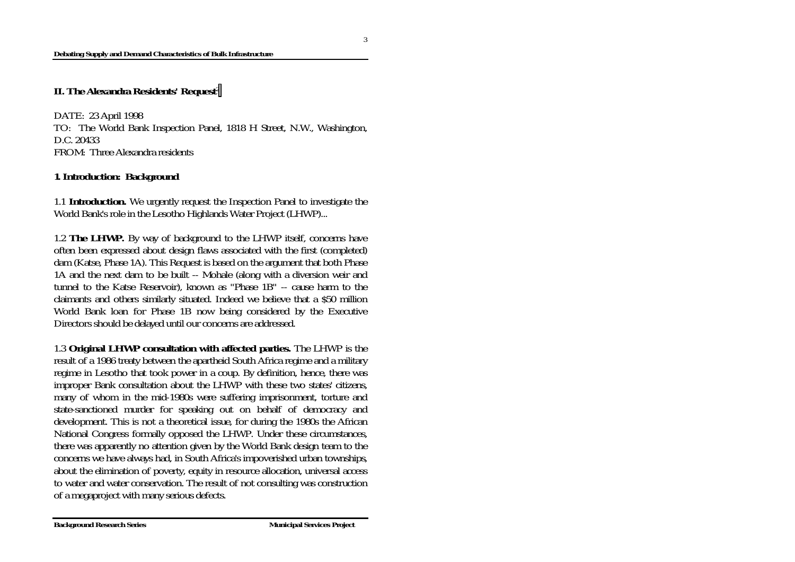#### **II. The Alexandra Residents' Request**[2](#page-75-0)

DATE: 23 April 1998 TO: The World Bank Inspection Panel, 1818 H Street, N.W., Washington, D.C. 20433 FROM: Three Alexandra residents

#### **1. Introduction: Background**

1.1 **Introduction.** We urgently request the Inspection Panel to investigate the World Bank's role in the Lesotho Highlands Water Project (LHWP)...

1.2 **The LHWP.** By way of background to the LHWP itself, concerns have often been expressed about design flaws associated with the first (completed) dam (Katse, Phase 1A). This Request is based on the argument that both Phase 1A and the next dam to be built -- Mohale (along with a diversion weir and tunnel to the Katse Reservoir), known as "Phase 1B" -- cause harm to the claimants and others similarly situated. Indeed we believe that a \$50 million World Bank loan for Phase 1B now being considered by the Executive Directors should be delayed until our concerns are addressed.

1.3 **Original LHWP consultation with affected parties.** The LHWP is the result of a 1986 treaty between the apartheid South Africa regime and a military regime in Lesotho that took power in a coup. By definition, hence, there was improper Bank consultation about the LHWP with these two states' citizens, many of whom in the mid-1980s were suffering imprisonment, torture and state-sanctioned murder for speaking out on behalf of democracy and development. This is not a theoretical issue, for during the 1980s the African National Congress formally opposed the LHWP. Under these circumstances, there was apparently no attention given by the World Bank design team to the concerns we have always had, in South Africa's impoverished urban townships, about the elimination of poverty, equity in resource allocation, universal access to water and water conservation. The result of not consulting was construction of a megaproject with many serious defects.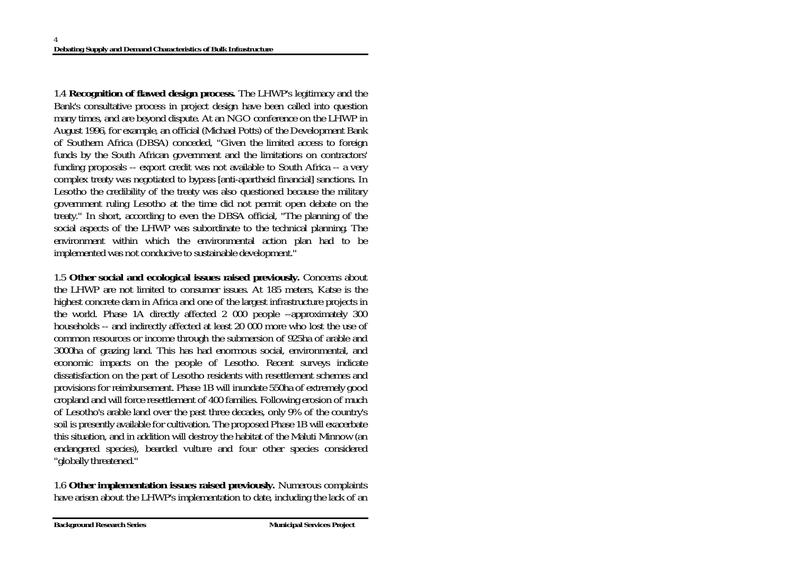1.4 **Recognition of flawed design process.** The LHWP's legitimacy and the Bank's consultative process in project design have been called into question many times, and are beyond dispute. At an NGO conference on the LHWP in August 1996, for example, an official (Michael Potts) of the Development Bank of Southern Africa (DBSA) conceded, "Given the limited access to foreign funds by the South African government and the limitations on contractors' funding proposals -- export credit was not available to South Africa -- a very complex treaty was negotiated to bypass [anti-apartheid financial] sanctions. In Lesotho the credibility of the treaty was also questioned because the military government ruling Lesotho at the time did not permit open debate on the treaty." In short, according to even the DBSA official, "The planning of the social aspects of the LHWP was subordinate to the technical planning. The environment within which the environmental action plan had to be implemented was not conducive to sustainable development."

1.5 **Other social and ecological issues raised previously.** Concerns about the LHWP are not limited to consumer issues. At 185 meters, Katse is the highest concrete dam in Africa and one of the largest infrastructure projects in the world. Phase 1A directly affected 2 000 people --approximately 300 households -- and indirectly affected at least 20 000 more who lost the use of common resources or income through the submersion of 925ha of arable and 3000ha of grazing land. This has had enormous social, environmental, and economic impacts on the people of Lesotho. Recent surveys indicate dissatisfaction on the part of Lesotho residents with resettlement schemes and provisions for reimbursement. Phase 1B will inundate 550ha of extremely good cropland and will force resettlement of 400 families. Following erosion of much of Lesotho's arable land over the past three decades, only 9% of the country's soil is presently available for cultivation. The proposed Phase 1B will exacerbate this situation, and in addition will destroy the habitat of the Maluti Minnow (an endangered species), bearded vulture and four other species considered "globally threatened."

1.6 **Other implementation issues raised previously.** Numerous complaints have arisen about the LHWP's implementation to date, including the lack of an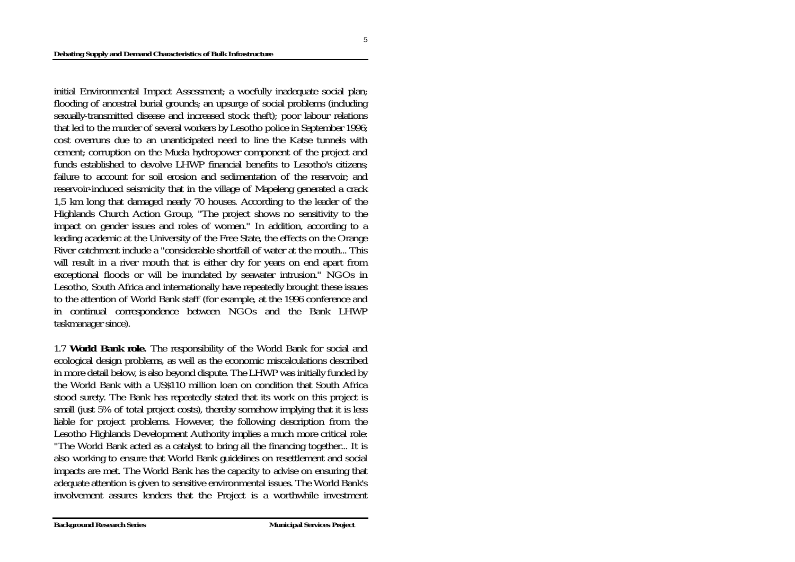initial Environmental Impact Assessment; a woefully inadequate social plan; flooding of ancestral burial grounds; an upsurge of social problems (including sexually-transmitted disease and increased stock theft); poor labour relations that led to the murder of several workers by Lesotho police in September 1996; cost overruns due to an unanticipated need to line the Katse tunnels with cement; corruption on the Muela hydropower component of the project and funds established to devolve LHWP financial benefits to Lesotho's citizens; failure to account for soil erosion and sedimentation of the reservoir; and reservoir-induced seismicity that in the village of Mapeleng generated a crack 1,5 km long that damaged nearly 70 houses. According to the leader of the Highlands Church Action Group, "The project shows no sensitivity to the impact on gender issues and roles of women." In addition, according to a leading academic at the University of the Free State, the effects on the Orange River catchment include a "considerable shortfall of water at the mouth... This will result in a river mouth that is either dry for years on end apart from exceptional floods or will be inundated by seawater intrusion." NGOs in Lesotho, South Africa and internationally have repeatedly brought these issues to the attention of World Bank staff (for example, at the 1996 conference and in continual correspondence between NGOs and the Bank LHWP taskmanager since).

1.7 **World Bank role.** The responsibility of the World Bank for social and ecological design problems, as well as the economic miscalculations described in more detail below, is also beyond dispute. The LHWP was initially funded by the World Bank with a US\$110 million loan on condition that South Africa stood surety. The Bank has repeatedly stated that its work on this project is small (just 5% of total project costs), thereby somehow implying that it is less liable for project problems. However, the following description from the Lesotho Highlands Development Authority implies a much more critical role: "The World Bank acted as a catalyst to bring all the financing together... It is also working to ensure that World Bank guidelines on resettlement and social impacts are met. The World Bank has the capacity to advise on ensuring that adequate attention is given to sensitive environmental issues. The World Bank's involvement assures lenders that the Project is a worthwhile investment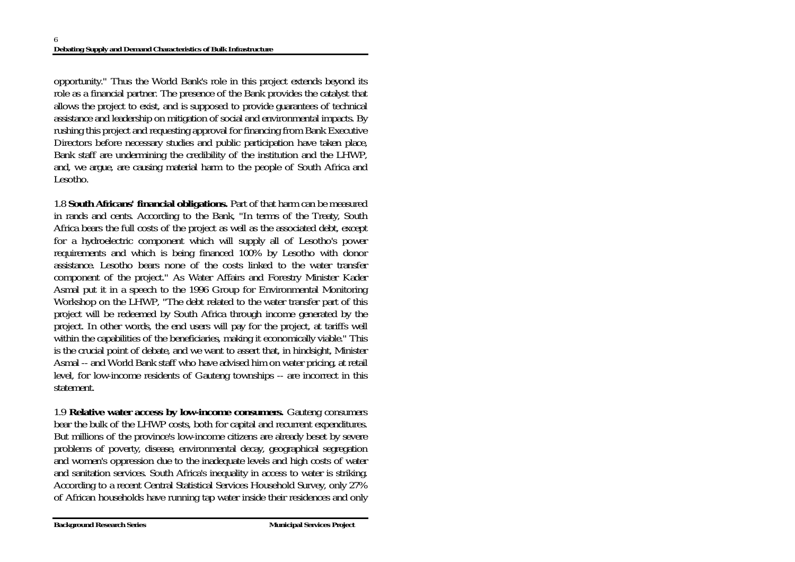opportunity." Thus the World Bank's role in this project extends beyond its role as a financial partner. The presence of the Bank provides the catalyst that allows the project to exist, and is supposed to provide guarantees of technical assistance and leadership on mitigation of social and environmental impacts. By rushing this project and requesting approval for financing from Bank Executive Directors before necessary studies and public participation have taken place, Bank staff are undermining the credibility of the institution and the LHWP, and, we argue, are causing material harm to the people of South Africa and Lesotho.

1.8 **South Africans' financial obligations.** Part of that harm can be measured in rands and cents. According to the Bank, "In terms of the Treaty, South Africa bears the full costs of the project as well as the associated debt, except for a hydroelectric component which will supply all of Lesotho's power requirements and which is being financed 100% by Lesotho with donor assistance. Lesotho bears none of the costs linked to the water transfer component of the project." As Water Affairs and Forestry Minister Kader Asmal put it in a speech to the 1996 Group for Environmental Monitoring Workshop on the LHWP, "The debt related to the water transfer part of this project will be redeemed by South Africa through income generated by the project. In other words, the end users will pay for the project, at tariffs well within the capabilities of the beneficiaries, making it economically viable." This is the crucial point of debate, and we want to assert that, in hindsight, Minister Asmal -- and World Bank staff who have advised him on water pricing, at retail level, for low-income residents of Gauteng townships -- are incorrect in this statement.

1.9 **Relative water access by low-income consumers.** Gauteng consumers bear the bulk of the LHWP costs, both for capital and recurrent expenditures. But millions of the province's low-income citizens are already beset by severe problems of poverty, disease, environmental decay, geographical segregation and women's oppression due to the inadequate levels and high costs of water and sanitation services. South Africa's inequality in access to water is striking. According to a recent Central Statistical Services Household Survey, only 27% of African households have running tap water inside their residences and only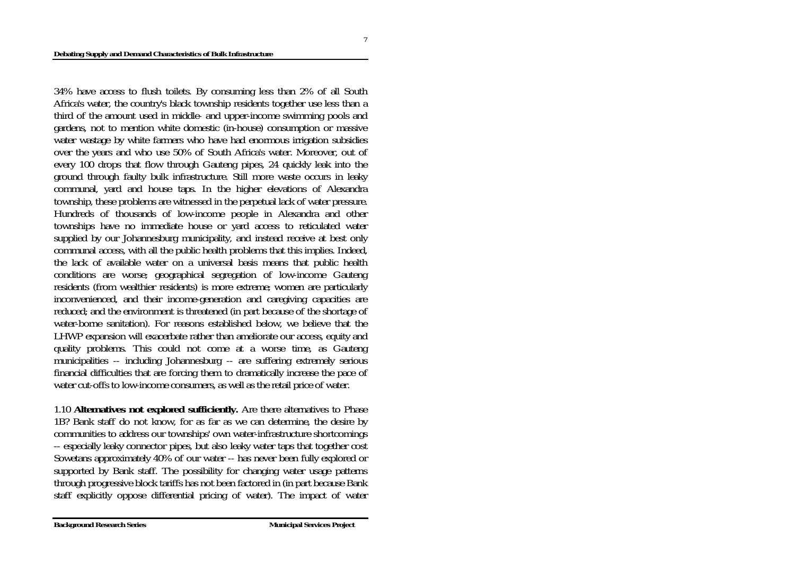34% have access to flush toilets. By consuming less than 2% of all South Africa's water, the country's black township residents together use less than a third of the amount used in middle- and upper-income swimming pools and gardens, not to mention white domestic (in-house) consumption or massive water wastage by white farmers who have had enormous irrigation subsidies over the years and who use 50% of South Africa's water. Moreover, out of every 100 drops that flow through Gauteng pipes, 24 quickly leak into the ground through faulty bulk infrastructure. Still more waste occurs in leaky communal, yard and house taps. In the higher elevations of Alexandra township, these problems are witnessed in the perpetual lack of water pressure. Hundreds of thousands of low-income people in Alexandra and other townships have no immediate house or yard access to reticulated water supplied by our Johannesburg municipality, and instead receive at best only communal access, with all the public health problems that this implies. Indeed, the lack of available water on a universal basis means that public health conditions are worse; geographical segregation of low-income Gauteng residents (from wealthier residents) is more extreme; women are particularly inconvenienced, and their income-generation and caregiving capacities are reduced; and the environment is threatened (in part because of the shortage of water-borne sanitation). For reasons established below, we believe that the LHWP expansion will exacerbate rather than ameliorate our access, equity and quality problems. This could not come at a worse time, as Gauteng municipalities -- including Johannesburg -- are suffering extremely serious financial difficulties that are forcing them to dramatically increase the pace of water cut-offs to low-income consumers, as well as the retail price of water.

1.10 **Alternatives not explored sufficiently.** Are there alternatives to Phase 1B? Bank staff do not know, for as far as we can determine, the desire by communities to address our townships' own water-infrastructure shortcomings -- especially leaky connector pipes, but also leaky water taps that together cost Sowetans approximately 40% of our water -- has never been fully explored or supported by Bank staff. The possibility for changing water usage patterns through progressive block tariffs has not been factored in (in part because Bank staff explicitly oppose differential pricing of water). The impact of water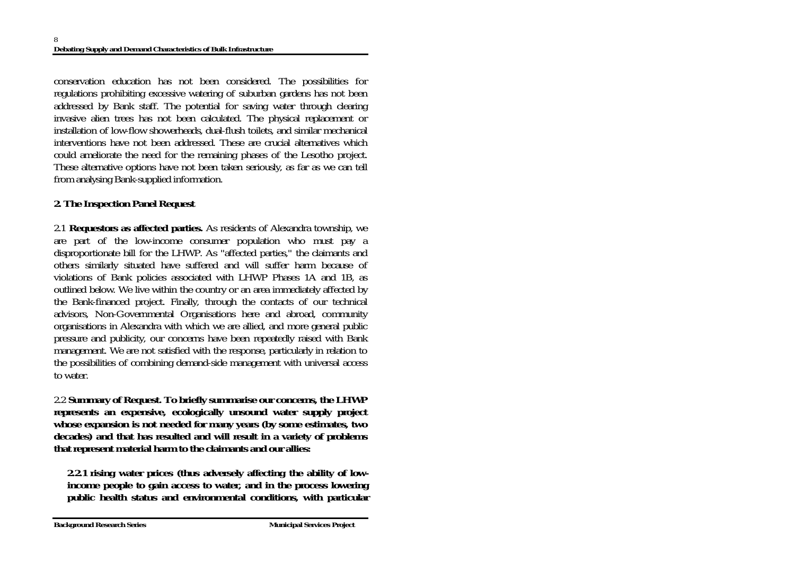conservation education has not been considered. The possibilities for regulations prohibiting excessive watering of suburban gardens has not been addressed by Bank staff. The potential for saving water through clearing invasive alien trees has not been calculated. The physical replacement or installation of low-flow showerheads, dual-flush toilets, and similar mechanical interventions have not been addressed. These are crucial alternatives which could ameliorate the need for the remaining phases of the Lesotho project. These alternative options have not been taken seriously, as far as we can tell from analysing Bank-supplied information.

# **2. The Inspection Panel Request**

2.1 **Requestors as affected parties.** As residents of Alexandra township, we are part of the low-income consumer population who must pay a disproportionate bill for the LHWP. As "affected parties," the claimants and others similarly situated have suffered and will suffer harm because of violations of Bank policies associated with LHWP Phases 1A and 1B, as outlined below. We live within the country or an area immediately affected by the Bank-financed project. Finally, through the contacts of our technical advisors, Non-Governmental Organisations here and abroad, community organisations in Alexandra with which we are allied, and more general public pressure and publicity, our concerns have been repeatedly raised with Bank management. We are not satisfied with the response, particularly in relation to the possibilities of combining demand-side management with universal access to water.

2.2 **Summary of Request. To briefly summarise our concerns, the LHWP represents an expensive, ecologically unsound water supply project whose expansion is not needed for many years (by some estimates, two decades) and that has resulted and will result in a variety of problems that represent material harm to the claimants and our allies:** 

**2.2.1 rising water prices (thus adversely affecting the ability of lowincome people to gain access to water, and in the process lowering public health status and environmental conditions, with particular**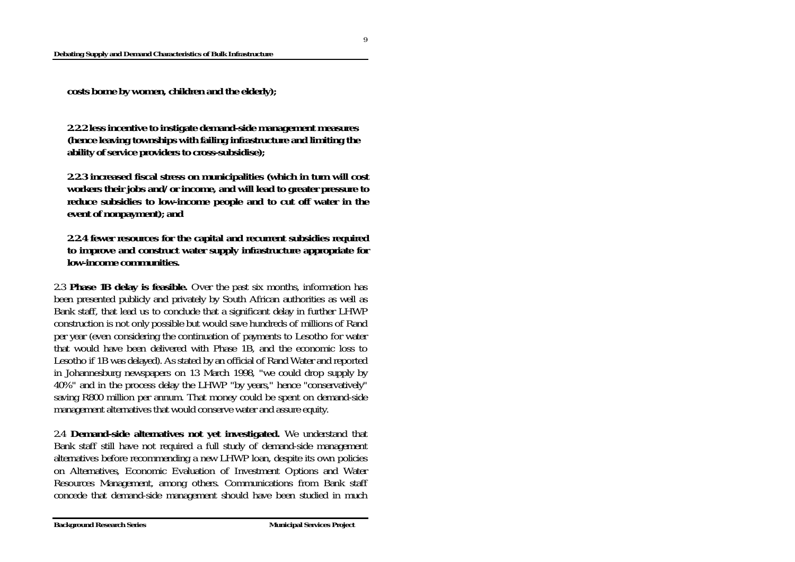**costs borne by women, children and the elderly);** 

**2.2.2 less incentive to instigate demand-side management measures (hence leaving townships with failing infrastructure and limiting the ability of service providers to cross-subsidise);** 

**2.2.3 increased fiscal stress on municipalities (which in turn will cost workers their jobs and/or income, and will lead to greater pressure to reduce subsidies to low-income people and to cut off water in the event of nonpayment); and** 

## **2.2.4 fewer resources for the capital and recurrent subsidies required to improve and construct water supply infrastructure appropriate for low-income communities.**

2.3 **Phase 1B delay is feasible.** Over the past six months, information has been presented publicly and privately by South African authorities as well as Bank staff, that lead us to conclude that a significant delay in further LHWP construction is not only possible but would save hundreds of millions of Rand per year (even considering the continuation of payments to Lesotho for water that would have been delivered with Phase 1B, and the economic loss to Lesotho if 1B was delayed). As stated by an official of Rand Water and reported in Johannesburg newspapers on 13 March 1998, "we could drop supply by 40%" and in the process delay the LHWP "by years," hence "conservatively" saving R800 million per annum. That money could be spent on demand-side management alternatives that would conserve water and assure equity.

2.4 **Demand-side alternatives not yet investigated.** We understand that Bank staff still have not required a full study of demand-side management alternatives before recommending a new LHWP loan, despite its own policies on Alternatives, Economic Evaluation of Investment Options and Water Resources Management, among others. Communications from Bank staff concede that demand-side management should have been studied in much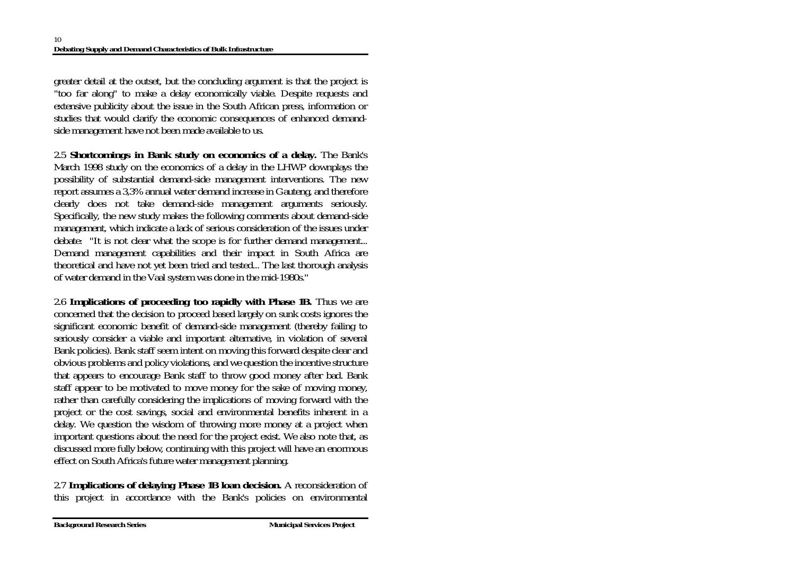greater detail at the outset, but the concluding argument is that the project is "too far along" to make a delay economically viable. Despite requests and extensive publicity about the issue in the South African press, information or studies that would clarify the economic consequences of enhanced demandside management have not been made available to us.

2.5 **Shortcomings in Bank study on economics of a delay.** The Bank's March 1998 study on the economics of a delay in the LHWP downplays the possibility of substantial demand-side management interventions. The new report assumes a 3,3% annual water demand increase in Gauteng, and therefore clearly does not take demand-side management arguments seriously. Specifically, the new study makes the following comments about demand-side management, which indicate a lack of serious consideration of the issues under debate: "It is not clear what the scope is for further demand management... Demand management capabilities and their impact in South Africa are theoretical and have not yet been tried and tested... The last thorough analysis of water demand in the Vaal system was done in the mid-1980s."

2.6 **Implications of proceeding too rapidly with Phase 1B.** Thus we are concerned that the decision to proceed based largely on sunk costs ignores the significant economic benefit of demand-side management (thereby failing to seriously consider a viable and important alternative, in violation of several Bank policies). Bank staff seem intent on moving this forward despite clear and obvious problems and policy violations, and we question the incentive structure that appears to encourage Bank staff to throw good money after bad. Bank staff appear to be motivated to move money for the sake of moving money, rather than carefully considering the implications of moving forward with the project or the cost savings, social and environmental benefits inherent in a delay. We question the wisdom of throwing more money at a project when important questions about the need for the project exist. We also note that, as discussed more fully below, continuing with this project will have an enormous effect on South Africa's future water management planning.

2.7 **Implications of delaying Phase 1B loan decision.** A reconsideration of this project in accordance with the Bank's policies on environmental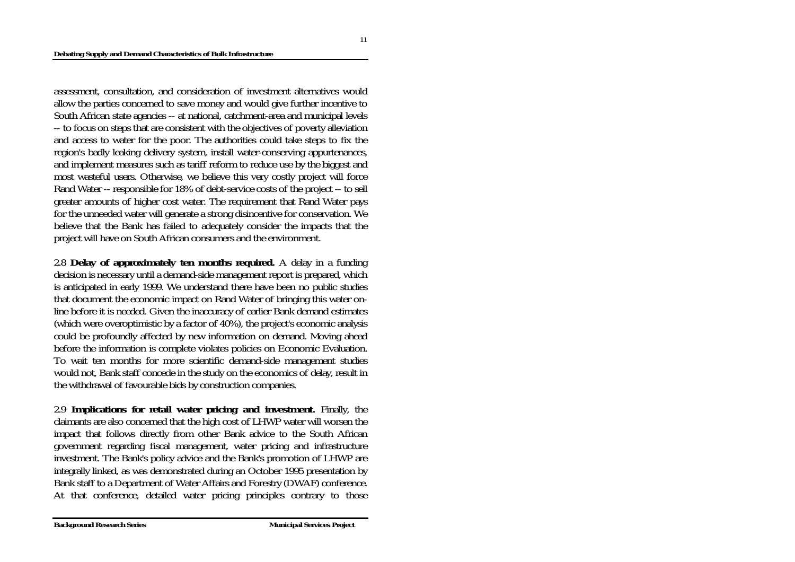assessment, consultation, and consideration of investment alternatives would allow the parties concerned to save money and would give further incentive to South African state agencies -- at national, catchment-area and municipal levels -- to focus on steps that are consistent with the objectives of poverty alleviation and access to water for the poor. The authorities could take steps to fix the region's badly leaking delivery system, install water-conserving appurtenances, and implement measures such as tariff reform to reduce use by the biggest and most wasteful users. Otherwise, we believe this very costly project will force Rand Water -- responsible for 18% of debt-service costs of the project -- to sell greater amounts of higher cost water. The requirement that Rand Water pays for the unneeded water will generate a strong disincentive for conservation. We believe that the Bank has failed to adequately consider the impacts that the project will have on South African consumers and the environment.

2.8 **Delay of approximately ten months required.** A delay in a funding decision is necessary until a demand-side management report is prepared, which is anticipated in early 1999. We understand there have been no public studies that document the economic impact on Rand Water of bringing this water online before it is needed. Given the inaccuracy of earlier Bank demand estimates (which were overoptimistic by a factor of 40%), the project's economic analysis could be profoundly affected by new information on demand. Moving ahead before the information is complete violates policies on Economic Evaluation. To wait ten months for more scientific demand-side management studies would not, Bank staff concede in the study on the economics of delay, result in the withdrawal of favourable bids by construction companies.

2.9 **Implications for retail water pricing and investment.** Finally, the claimants are also concerned that the high cost of LHWP water will worsen the impact that follows directly from other Bank advice to the South African government regarding fiscal management, water pricing and infrastructure investment. The Bank's policy advice and the Bank's promotion of LHWP are integrally linked, as was demonstrated during an October 1995 presentation by Bank staff to a Department of Water Affairs and Forestry (DWAF) conference. At that conference, detailed water pricing principles contrary to those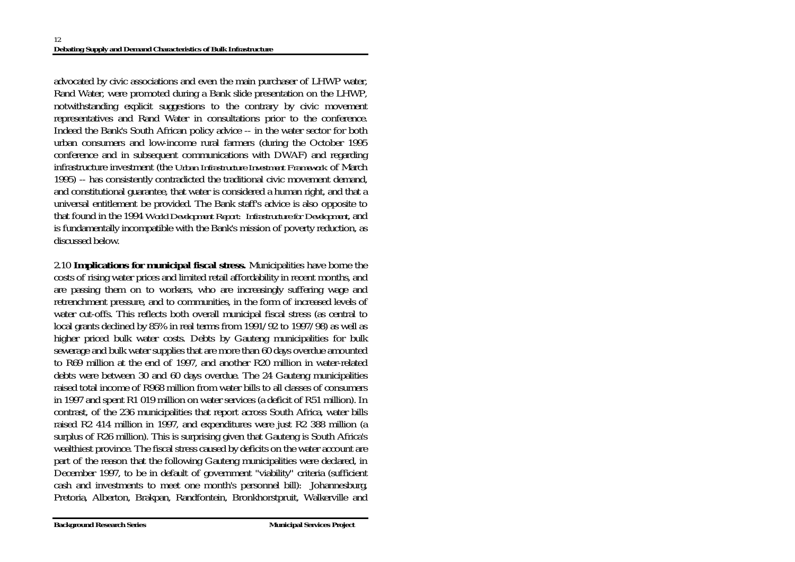advocated by civic associations and even the main purchaser of LHWP water, Rand Water, were promoted during a Bank slide presentation on the LHWP, notwithstanding explicit suggestions to the contrary by civic movement representatives and Rand Water in consultations prior to the conference. Indeed the Bank's South African policy advice -- in the water sector for both urban consumers and low-income rural farmers (during the October 1995 conference and in subsequent communications with DWAF) and regarding infrastructure investment (the *Urban Infrastructure Investment Framework* of March 1995) -- has consistently contradicted the traditional civic movement demand, and constitutional guarantee, that water is considered a human right, and that a universal entitlement be provided. The Bank staff's advice is also opposite to that found in the 1994 *World Development Report: Infrastructure for Development*, and is fundamentally incompatible with the Bank's mission of poverty reduction, as discussed below.

2.10 **Implications for municipal fiscal stress.** Municipalities have borne the costs of rising water prices and limited retail affordability in recent months, and are passing them on to workers, who are increasingly suffering wage and retrenchment pressure, and to communities, in the form of increased levels of water cut-offs. This reflects both overall municipal fiscal stress (as central to local grants declined by 85% in real terms from 1991/92 to 1997/98) as well as higher priced bulk water costs. Debts by Gauteng municipalities for bulk sewerage and bulk water supplies that are more than 60 days overdue amounted to R69 million at the end of 1997, and another R20 million in water-related debts were between 30 and 60 days overdue. The 24 Gauteng municipalities raised total income of R968 million from water bills to all classes of consumers in 1997 and spent R1 019 million on water services (a deficit of R51 million). In contrast, of the 236 municipalities that report across South Africa, water bills raised R2 414 million in 1997, and expenditures were just R2 388 million (a surplus of R26 million). This is surprising given that Gauteng is South Africa's wealthiest province. The fiscal stress caused by deficits on the water account are part of the reason that the following Gauteng municipalities were declared, in December 1997, to be in default of government "viability" criteria (sufficient cash and investments to meet one month's personnel bill): Johannesburg, Pretoria, Alberton, Brakpan, Randfontein, Bronkhorstpruit, Walkerville and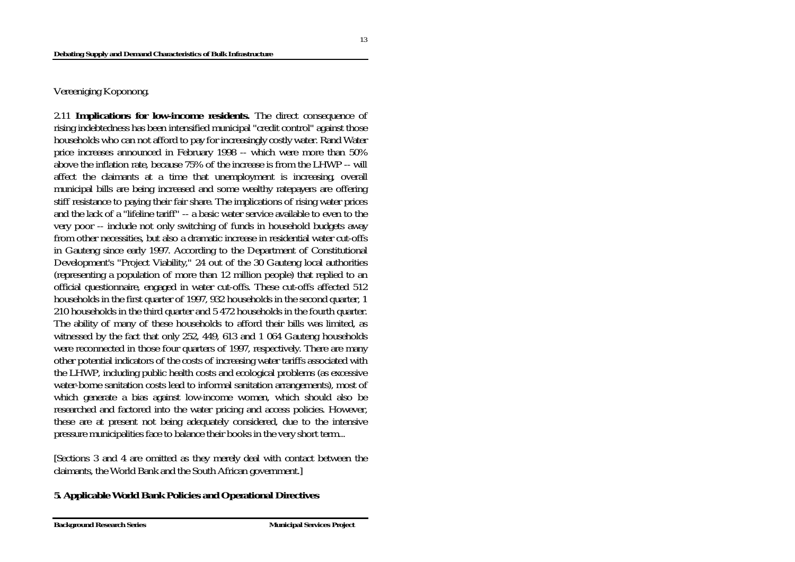Vereeniging Koponong.

2.11 **Implications for low-income residents.** The direct consequence of rising indebtedness has been intensified municipal "credit control" against those households who can not afford to pay for increasingly costly water. Rand Water price increases announced in February 1998 -- which were more than 50% above the inflation rate, because 75% of the increase is from the LHWP -- will affect the claimants at a time that unemployment is increasing, overall municipal bills are being increased and some wealthy ratepayers are offering stiff resistance to paying their fair share. The implications of rising water prices and the lack of a "lifeline tariff" -- a basic water service available to even to the very poor -- include not only switching of funds in household budgets away from other necessities, but also a dramatic increase in residential water cut-offs in Gauteng since early 1997. According to the Department of Constitutional Development's "Project Viability," 24 out of the 30 Gauteng local authorities (representing a population of more than 12 million people) that replied to an official questionnaire, engaged in water cut-offs. These cut-offs affected 512 households in the first quarter of 1997, 932 households in the second quarter, 1 210 households in the third quarter and 5 472 households in the fourth quarter. The ability of many of these households to afford their bills was limited, as witnessed by the fact that only 252, 449, 613 and 1 064 Gauteng households were reconnected in those four quarters of 1997, respectively. There are many other potential indicators of the costs of increasing water tariffs associated with the LHWP, including public health costs and ecological problems (as excessive water-borne sanitation costs lead to informal sanitation arrangements), most of which generate a bias against low-income women, which should also be researched and factored into the water pricing and access policies. However, these are at present not being adequately considered, due to the intensive pressure municipalities face to balance their books in the very short term...

[Sections 3 and 4 are omitted as they merely deal with contact between the claimants, the World Bank and the South African government.]

# **5. Applicable World Bank Policies and Operational Directives**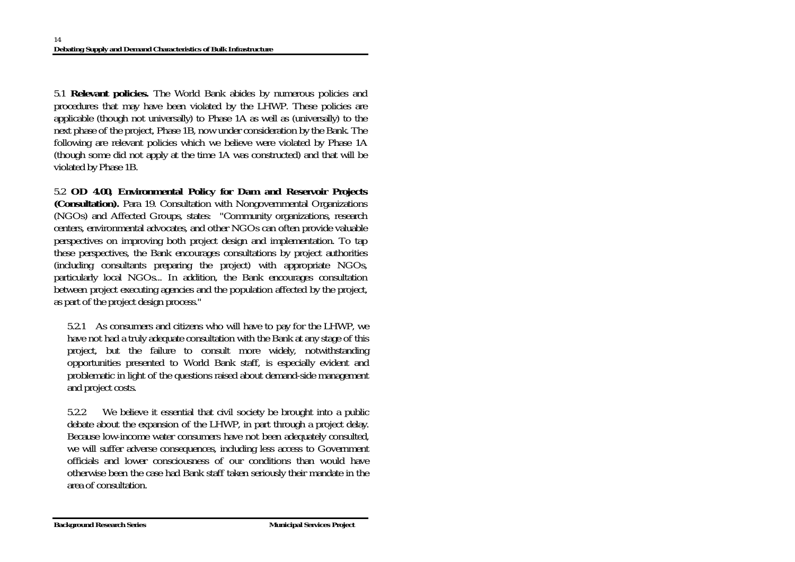5.1 **Relevant policies.** The World Bank abides by numerous policies and procedures that may have been violated by the LHWP. These policies are applicable (though not universally) to Phase 1A as well as (universally) to the next phase of the project, Phase 1B, now under consideration by the Bank. The following are relevant policies which we believe were violated by Phase 1A (though some did not apply at the time 1A was constructed) and that will be violated by Phase 1B.

5.2 **OD 4.00, Environmental Policy for Dam and Reservoir Projects (Consultation).** Para 19. Consultation with Nongovernmental Organizations (NGOs) and Affected Groups, states: "Community organizations, research centers, environmental advocates, and other NGOs can often provide valuable perspectives on improving both project design and implementation. To tap these perspectives, the Bank encourages consultations by project authorities (including consultants preparing the project) with appropriate NGOs, particularly local NGOs... In addition, the Bank encourages consultation between project executing agencies and the population affected by the project, as part of the project design process."

5.2.1 As consumers and citizens who will have to pay for the LHWP, we have not had a truly adequate consultation with the Bank at any stage of this project, but the failure to consult more widely, notwithstanding opportunities presented to World Bank staff, is especially evident and problematic in light of the questions raised about demand-side management and project costs.

5.2.2 We believe it essential that civil society be brought into a public debate about the expansion of the LHWP, in part through a project delay. Because low-income water consumers have not been adequately consulted, we will suffer adverse consequences, including less access to Government officials and lower consciousness of our conditions than would have otherwise been the case had Bank staff taken seriously their mandate in the area of consultation.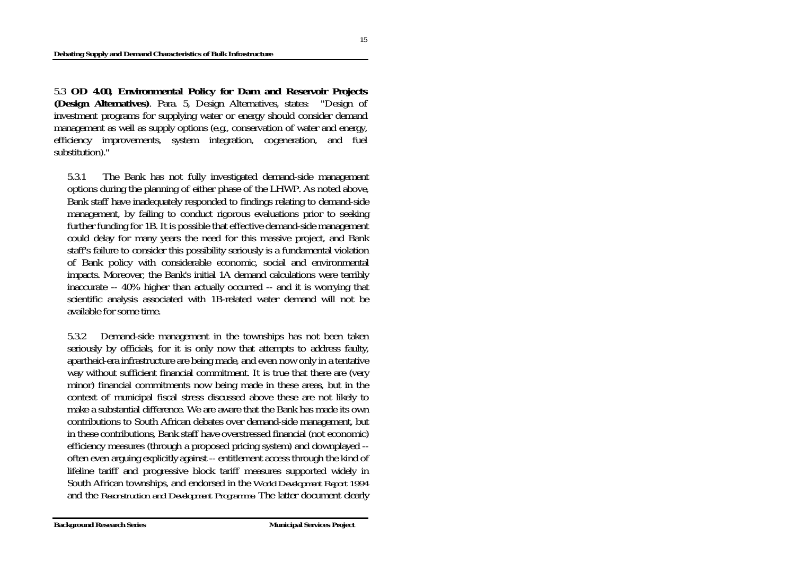5.3 **OD 4.00, Environmental Policy for Dam and Reservoir Projects (Design Alternatives)**. Para. 5, Design Alternatives, states: "Design of investment programs for supplying water or energy should consider demand management as well as supply options (e.g., conservation of water and energy, efficiency improvements, system integration, cogeneration, and fuel substitution)."

5.3.1 The Bank has not fully investigated demand-side management options during the planning of either phase of the LHWP. As noted above, Bank staff have inadequately responded to findings relating to demand-side management, by failing to conduct rigorous evaluations prior to seeking further funding for 1B. It is possible that effective demand-side management could delay for many years the need for this massive project, and Bank staff's failure to consider this possibility seriously is a fundamental violation of Bank policy with considerable economic, social and environmental impacts. Moreover, the Bank's initial 1A demand calculations were terribly inaccurate -- 40% higher than actually occurred -- and it is worrying that scientific analysis associated with 1B-related water demand will not be available for some time.

5.3.2 Demand-side management in the townships has not been taken seriously by officials, for it is only now that attempts to address faulty, apartheid-era infrastructure are being made, and even now only in a tentative way without sufficient financial commitment. It is true that there are (very minor) financial commitments now being made in these areas, but in the context of municipal fiscal stress discussed above these are not likely to make a substantial difference. We are aware that the Bank has made its own contributions to South African debates over demand-side management, but in these contributions, Bank staff have overstressed financial (not economic) efficiency measures (through a proposed pricing system) and downplayed - often even arguing explicitly against -- entitlement access through the kind of lifeline tariff and progressive block tariff measures supported widely in South African townships, and endorsed in the *World Development Report 1994* and the *Reconstruction and Development Programme*. The latter document clearly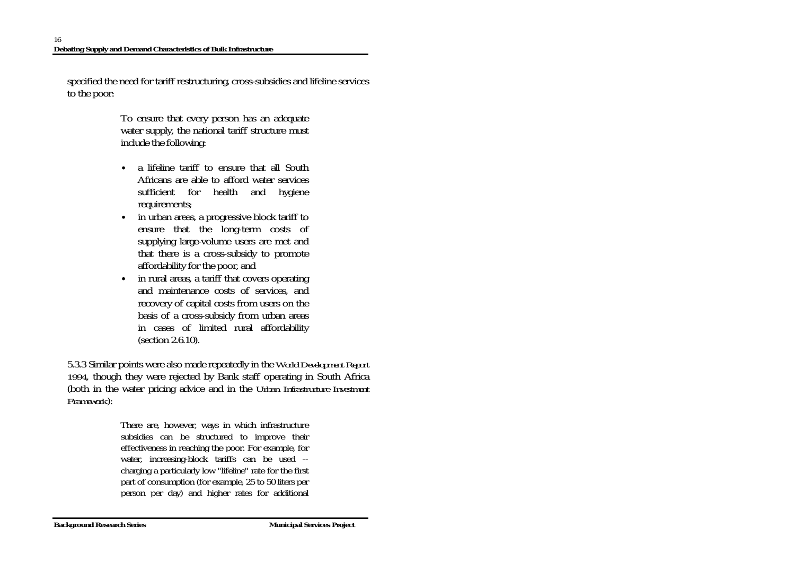specified the need for tariff restructuring, cross-subsidies and lifeline services to the poor:

> To ensure that every person has an adequate water supply, the national tariff structure must include the following:

- a lifeline tariff to ensure that all South Africans are able to afford water services sufficient for health and hygiene requirements;
- in urban areas, a progressive block tariff to ensure that the long-term costs of supplying large-volume users are met and that there is a cross-subsidy to promote affordability for the poor, and
- in rural areas, a tariff that covers operating and maintenance costs of services, and recovery of capital costs from users on the basis of a cross-subsidy from urban areas in cases of limited rural affordability (section 2.6.10).

5.3.3 Similar points were also made repeatedly in the *World Development Report 1994*, though they were rejected by Bank staff operating in South Africa (both in the water pricing advice and in the *Urban Infrastructure Investment Framework*):

> There are, however, ways in which infrastructure subsidies can be structured to improve their effectiveness in reaching the poor. For example, for water, increasing-block tariffs can be used - charging a particularly low "lifeline" rate for the first part of consumption (for example, 25 to 50 liters per person per day) and higher rates for additional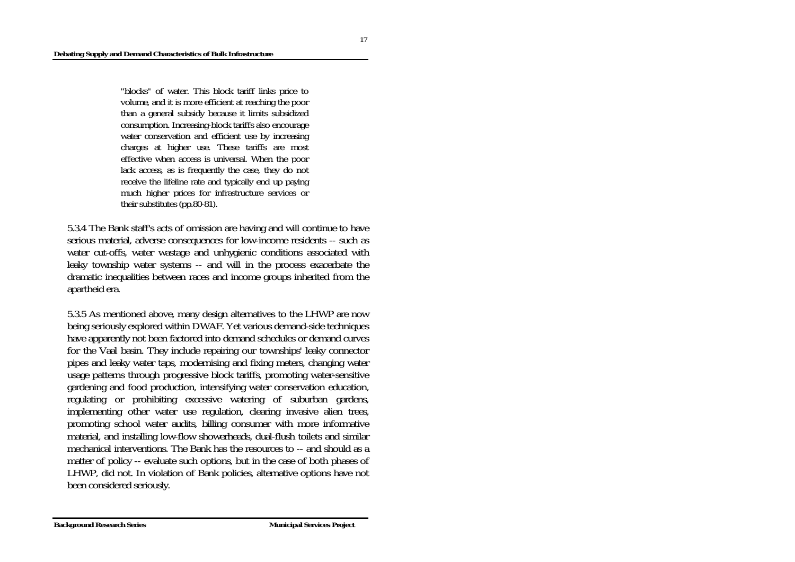"blocks" of water. This block tariff links price to volume, and it is more efficient at reaching the poor than a general subsidy because it limits subsidized consumption. Increasing-block tariffs also encourage water conservation and efficient use by increasing charges at higher use. These tariffs are most effective when access is universal. When the poor lack access, as is frequently the case, they do not receive the lifeline rate and typically end up paying much higher prices for infrastructure services or their substitutes (pp.80-81).

5.3.4 The Bank staff's acts of omission are having and will continue to have serious material, adverse consequences for low-income residents -- such as water cut-offs, water wastage and unhygienic conditions associated with leaky township water systems -- and will in the process exacerbate the dramatic inequalities between races and income groups inherited from the apartheid era.

5.3.5 As mentioned above, many design alternatives to the LHWP are now being seriously explored within DWAF. Yet various demand-side techniques have apparently not been factored into demand schedules or demand curves for the Vaal basin. They include repairing our townships' leaky connector pipes and leaky water taps, modernising and fixing meters, changing water usage patterns through progressive block tariffs, promoting water-sensitive gardening and food production, intensifying water conservation education, regulating or prohibiting excessive watering of suburban gardens, implementing other water use regulation, clearing invasive alien trees, promoting school water audits, billing consumer with more informative material, and installing low-flow showerheads, dual-flush toilets and similar mechanical interventions. The Bank has the resources to -- and should as a matter of policy -- evaluate such options, but in the case of both phases of LHWP, did not. In violation of Bank policies, alternative options have not been considered seriously.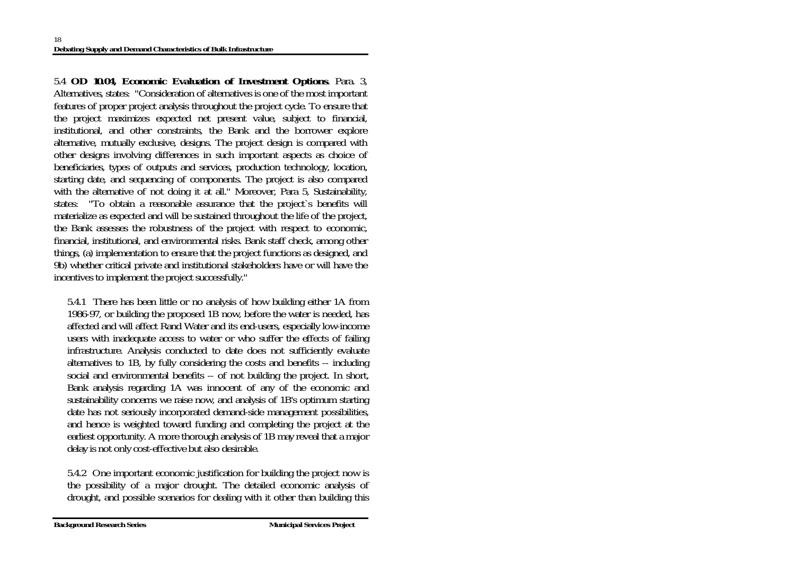5.4 **OD 10.04, Economic Evaluation of Investment Options**. Para. 3, Alternatives, states: "Consideration of alternatives is one of the most important features of proper project analysis throughout the project cycle. To ensure that the project maximizes expected net present value, subject to financial, institutional, and other constraints, the Bank and the borrower explore alternative, mutually exclusive, designs. The project design is compared with other designs involving differences in such important aspects as choice of beneficiaries, types of outputs and services, production technology, location, starting date, and sequencing of components. The project is also compared with the alternative of not doing it at all." Moreover, Para 5, Sustainability, states: "To obtain a reasonable assurance that the project`s benefits will materialize as expected and will be sustained throughout the life of the project, the Bank assesses the robustness of the project with respect to economic, financial, institutional, and environmental risks. Bank staff check, among other things, (a) implementation to ensure that the project functions as designed, and 9b) whether critical private and institutional stakeholders have or will have the incentives to implement the project successfully."

5.4.1 There has been little or no analysis of how building either 1A from 1986-97, or building the proposed 1B now, before the water is needed, has affected and will affect Rand Water and its end-users, especially low-income users with inadequate access to water or who suffer the effects of failing infrastructure. Analysis conducted to date does not sufficiently evaluate alternatives to 1B, by fully considering the costs and benefits -- including social and environmental benefits -- of not building the project. In short, Bank analysis regarding 1A was innocent of any of the economic and sustainability concerns we raise now, and analysis of 1B's optimum starting date has not seriously incorporated demand-side management possibilities, and hence is weighted toward funding and completing the project at the earliest opportunity. A more thorough analysis of 1B may reveal that a major delay is not only cost-effective but also desirable.

5.4.2 One important economic justification for building the project now is the possibility of a major drought. The detailed economic analysis of drought, and possible scenarios for dealing with it other than building this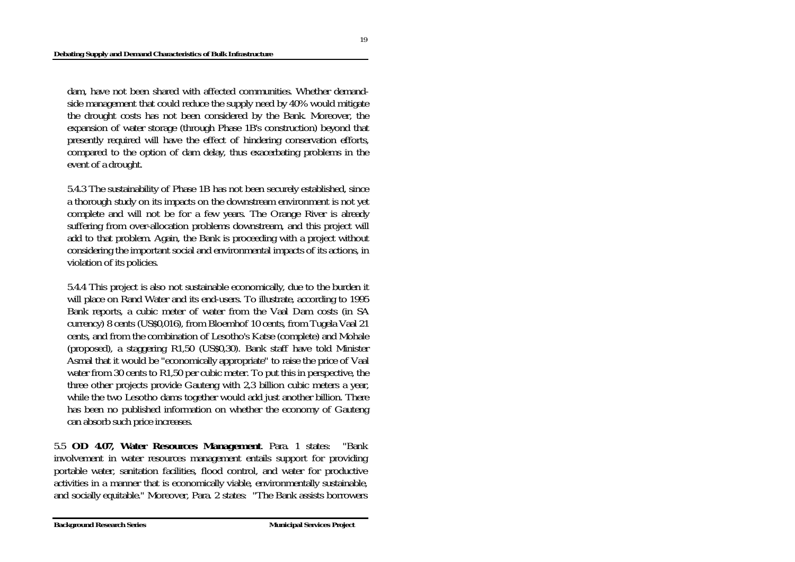#### **Debating Supply and Demand Characteristics of Bulk Infrastructure**

dam, have not been shared with affected communities. Whether demandside management that could reduce the supply need by 40% would mitigate the drought costs has not been considered by the Bank. Moreover, the expansion of water storage (through Phase 1B's construction) beyond that presently required will have the effect of hindering conservation efforts, compared to the option of dam delay, thus exacerbating problems in the event of a drought.

5.4.3 The sustainability of Phase 1B has not been securely established, since a thorough study on its impacts on the downstream environment is not yet complete and will not be for a few years. The Orange River is already suffering from over-allocation problems downstream, and this project will add to that problem. Again, the Bank is proceeding with a project without considering the important social and environmental impacts of its actions, in violation of its policies.

5.4.4 This project is also not sustainable economically, due to the burden it will place on Rand Water and its end-users. To illustrate, according to 1995 Bank reports, a cubic meter of water from the Vaal Dam costs (in SA currency) 8 cents (US\$0,016), from Bloemhof 10 cents, from Tugela Vaal 21 cents, and from the combination of Lesotho's Katse (complete) and Mohale (proposed), a staggering R1,50 (US\$0,30). Bank staff have told Minister Asmal that it would be "economically appropriate" to raise the price of Vaal water from 30 cents to R1,50 per cubic meter. To put this in perspective, the three other projects provide Gauteng with 2,3 billion cubic meters a year, while the two Lesotho dams together would add just another billion. There has been no published information on whether the economy of Gauteng can absorb such price increases.

5.5 **OD 4.07, Water Resources Management**. Para. 1 states: "Bank involvement in water resources management entails support for providing portable water, sanitation facilities, flood control, and water for productive activities in a manner that is economically viable, environmentally sustainable, and socially equitable." Moreover, Para. 2 states: "The Bank assists borrowers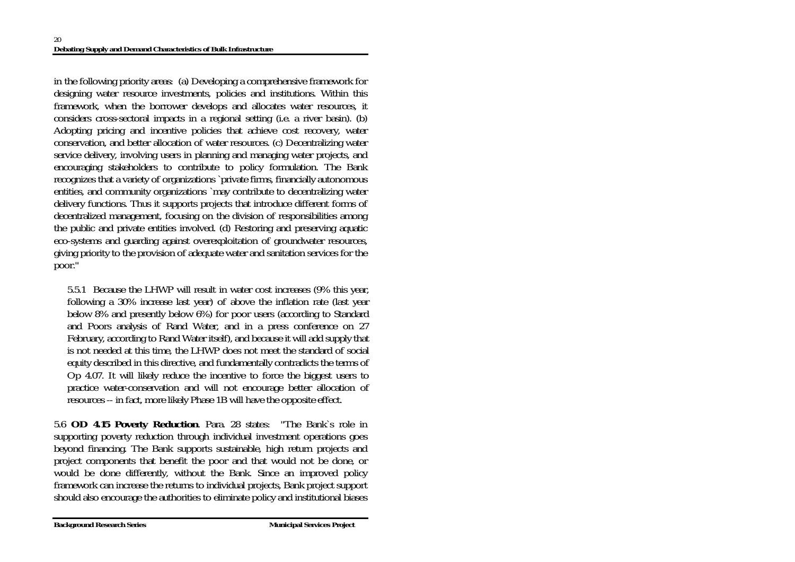in the following priority areas: (a) Developing a comprehensive framework for designing water resource investments, policies and institutions. Within this framework, when the borrower develops and allocates water resources, it considers cross-sectoral impacts in a regional setting (i.e. a river basin). (b) Adopting pricing and incentive policies that achieve cost recovery, water conservation, and better allocation of water resources. (c) Decentralizing water service delivery, involving users in planning and managing water projects, and encouraging stakeholders to contribute to policy formulation. The Bank recognizes that a variety of organizations `private firms, financially autonomous entities, and community organizations `may contribute to decentralizing water delivery functions. Thus it supports projects that introduce different forms of decentralized management, focusing on the division of responsibilities among the public and private entities involved. (d) Restoring and preserving aquatic eco-systems and guarding against overexploitation of groundwater resources, giving priority to the provision of adequate water and sanitation services for the poor."

5.5.1 Because the LHWP will result in water cost increases (9% this year, following a 30% increase last year) of above the inflation rate (last year below 8% and presently below 6%) for poor users (according to Standard and Poors analysis of Rand Water, and in a press conference on 27 February, according to Rand Water itself), and because it will add supply that is not needed at this time, the LHWP does not meet the standard of social equity described in this directive, and fundamentally contradicts the terms of Op 4.07. It will likely reduce the incentive to force the biggest users to practice water-conservation and will not encourage better allocation of resources -- in fact, more likely Phase 1B will have the opposite effect.

5.6 **OD 4.15 Poverty Reduction**. Para. 28 states: "The Bank`s role in supporting poverty reduction through individual investment operations goes beyond financing. The Bank supports sustainable, high return projects and project components that benefit the poor and that would not be done, or would be done differently, without the Bank. Since an improved policy framework can increase the returns to individual projects, Bank project support should also encourage the authorities to eliminate policy and institutional biases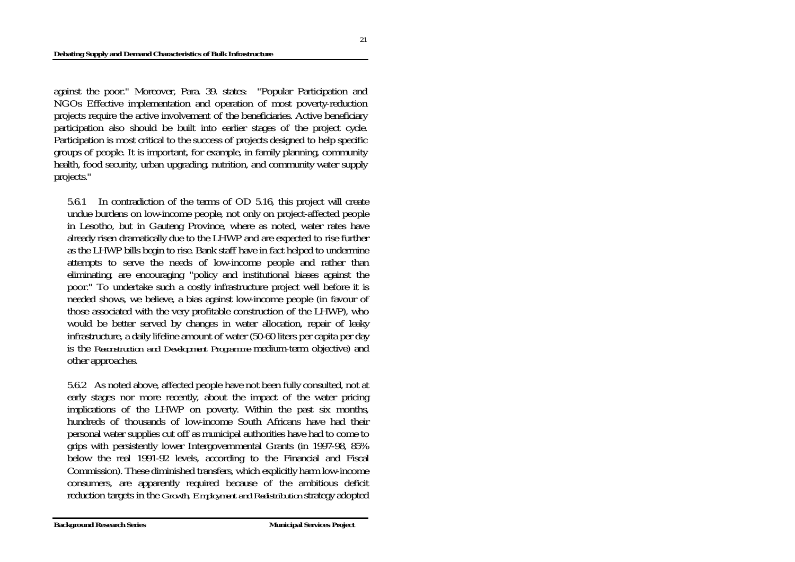against the poor." Moreover, Para. 39. states: "Popular Participation and NGOs Effective implementation and operation of most poverty-reduction projects require the active involvement of the beneficiaries. Active beneficiary participation also should be built into earlier stages of the project cycle. Participation is most critical to the success of projects designed to help specific groups of people. It is important, for example, in family planning, community health, food security, urban upgrading, nutrition, and community water supply projects."

5.6.1 In contradiction of the terms of OD 5.16, this project will create undue burdens on low-income people, not only on project-affected people in Lesotho, but in Gauteng Province, where as noted, water rates have already risen dramatically due to the LHWP and are expected to rise further as the LHWP bills begin to rise. Bank staff have in fact helped to undermine attempts to serve the needs of low-income people and rather than eliminating, are encouraging "policy and institutional biases against the poor." To undertake such a costly infrastructure project well before it is needed shows, we believe, a bias against low-income people (in favour of those associated with the very profitable construction of the LHWP), who would be better served by changes in water allocation, repair of leaky infrastructure, a daily lifeline amount of water (50-60 liters per capita per day is the *Reconstruction and Development Programme* medium-term objective) and other approaches.

5.6.2 As noted above, affected people have not been fully consulted, not at early stages nor more recently, about the impact of the water pricing implications of the LHWP on poverty. Within the past six months, hundreds of thousands of low-income South Africans have had their personal water supplies cut off as municipal authorities have had to come to grips with persistently lower Intergovernmental Grants (in 1997-98, 85% below the real 1991-92 levels, according to the Financial and Fiscal Commission). These diminished transfers, which explicitly harm low-income consumers, are apparently required because of the ambitious deficit reduction targets in the *Growth, Employment and Redistribution* strategy adopted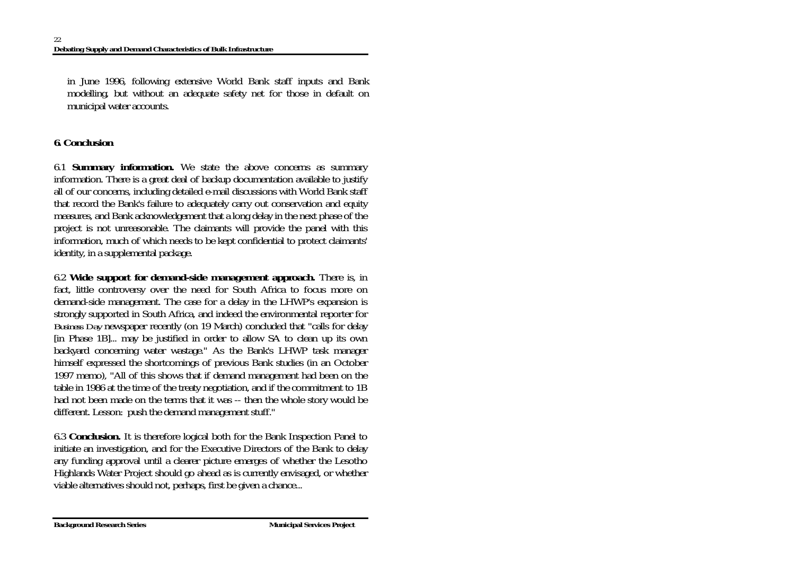in June 1996, following extensive World Bank staff inputs and Bank modelling, but without an adequate safety net for those in default on municipal water accounts.

## **6. Conclusion**

6.1 **Summary information.** We state the above concerns as summary information. There is a great deal of backup documentation available to justify all of our concerns, including detailed e-mail discussions with World Bank staff that record the Bank's failure to adequately carry out conservation and equity measures, and Bank acknowledgement that a long delay in the next phase of the project is not unreasonable. The claimants will provide the panel with this information, much of which needs to be kept confidential to protect claimants' identity, in a supplemental package.

6.2 **Wide support for demand-side management approach.** There is, in fact, little controversy over the need for South Africa to focus more on demand-side management. The case for a delay in the LHWP's expansion is strongly supported in South Africa, and indeed the environmental reporter for *Business Day* newspaper recently (on 19 March) concluded that "calls for delay [in Phase 1B]... may be justified in order to allow SA to clean up its own backyard concerning water wastage." As the Bank's LHWP task manager himself expressed the shortcomings of previous Bank studies (in an October 1997 memo), "All of this shows that if demand management had been on the table in 1986 at the time of the treaty negotiation, and if the commitment to 1B had not been made on the terms that it was -- then the whole story would be different. Lesson: push the demand management stuff."

6.3 **Conclusion.** It is therefore logical both for the Bank Inspection Panel to initiate an investigation, and for the Executive Directors of the Bank to delay any funding approval until a clearer picture emerges of whether the Lesotho Highlands Water Project should go ahead as is currently envisaged, or whether viable alternatives should not, perhaps, first be given a chance...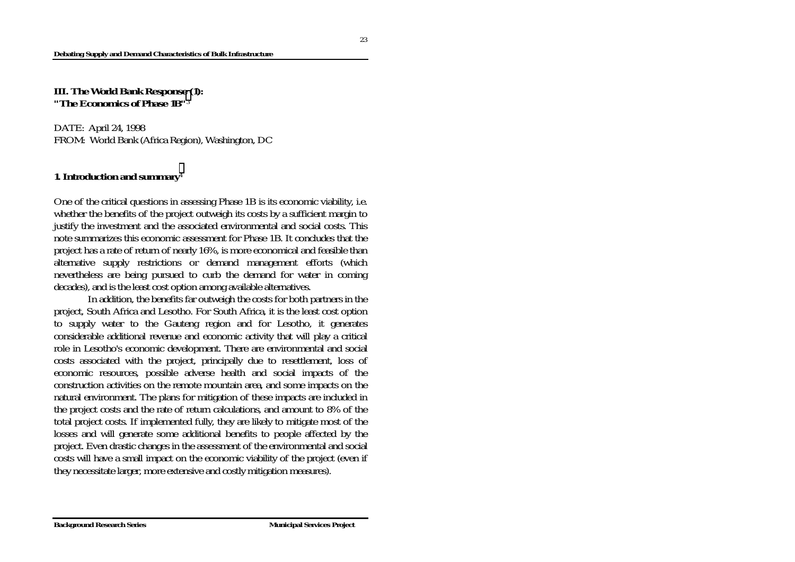**III. The World Bank Respons[e \(](#page-75-0)1): "The Economics of Phase 1B"**3

DATE: April 24, 1998 FROM: World Bank (Africa Region), Washington, DC

#### **1. Introduction and summary**<sup>4</sup>

One of the critical questions in assessing Phase 1B is its economic viability, i.e. whether the benefits of the project outweigh its costs by a sufficient margin to justify the investment and the associated environmental and social costs. This note summarizes this economic assessment for Phase 1B. It concludes that the project has a rate of return of nearly 16%, is more economical and feasible than alternative supply restrictions or demand management efforts (which nevertheless are being pursued to curb the demand for water in coming decades), and is the least cost option among available alternatives.

 In addition, the benefits far outweigh the costs for both partners in the project, South Africa and Lesotho. For South Africa, it is the least cost option to supply water to the Gauteng region and for Lesotho, it generates considerable additional revenue and economic activity that will play a critical role in Lesotho's economic development. There are environmental and social costs associated with the project, principally due to resettlement, loss of economic resources, possible adverse health and social impacts of the construction activities on the remote mountain area, and some impacts on the natural environment. The plans for mitigation of these impacts are included in the project costs and the rate of return calculations, and amount to 8% of the total project costs. If implemented fully, they are likely to mitigate most of the losses and will generate some additional benefits to people affected by the project. Even drastic changes in the assessment of the environmental and social costs will have a small impact on the economic viability of the project (even if they necessitate larger, more extensive and costly mitigation measures).

**Background Research Series Municipal Services Project**  Municipal Services Project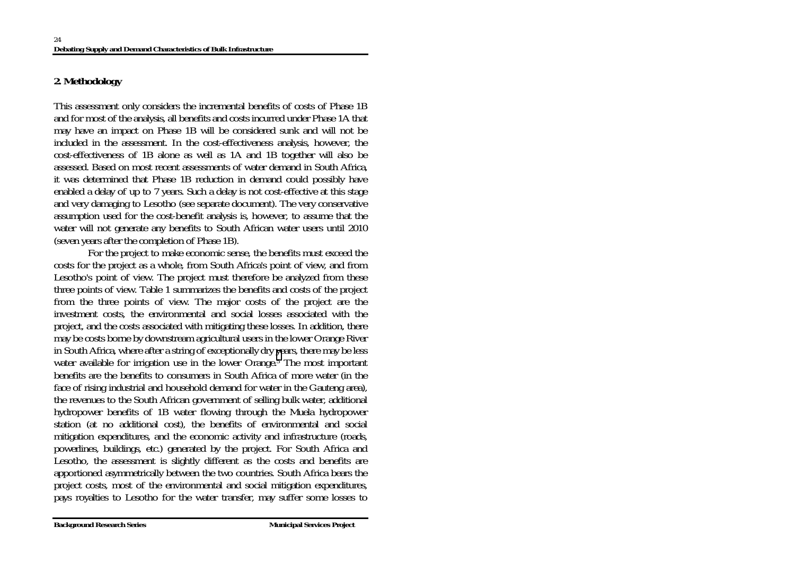## **2. Methodology**

This assessment only considers the incremental benefits of costs of Phase 1B and for most of the analysis, all benefits and costs incurred under Phase 1A that may have an impact on Phase 1B will be considered sunk and will not be included in the assessment. In the cost-effectiveness analysis, however, the cost-effectiveness of 1B alone as well as 1A and 1B together will also be assessed. Based on most recent assessments of water demand in South Africa, it was determined that Phase 1B reduction in demand could possibly have enabled a delay of up to 7 years. Such a delay is not cost-effective at this stage and very damaging to Lesotho (see separate document). The very conservative assumption used for the cost-benefit analysis is, however, to assume that the water will not generate any benefits to South African water users until 2010 (seven years after the completion of Phase 1B).

 For the project to make economic sense, the benefits must exceed the costs for the project as a whole, from South Africa's point of view, and from Lesotho's point of view. The project must therefore be analyzed from these three points of view. Table 1 summarizes the benefits and costs of the project from the three points of view. The major costs of the project are the investment costs, the environmental and social losses associated with the project, and the costs associated with mitigating these losses. In addition, there may be costs borne by downstream agricultural users in the lower Orange River in South Africa, where after a string of exceptionally dry [ye](#page-75-0)ars, there may be less water available for irrigation use in the lower Orange. 5 The most important benefits are the benefits to consumers in South Africa of more water (in the face of rising industrial and household demand for water in the Gauteng area), the revenues to the South African government of selling bulk water, additional hydropower benefits of 1B water flowing through the Muela hydropower station (at no additional cost), the benefits of environmental and social mitigation expenditures, and the economic activity and infrastructure (roads, powerlines, buildings, etc.) generated by the project. For South Africa and Lesotho, the assessment is slightly different as the costs and benefits are apportioned asymmetrically between the two countries. South Africa bears the project costs, most of the environmental and social mitigation expenditures, pays royalties to Lesotho for the water transfer, may suffer some losses to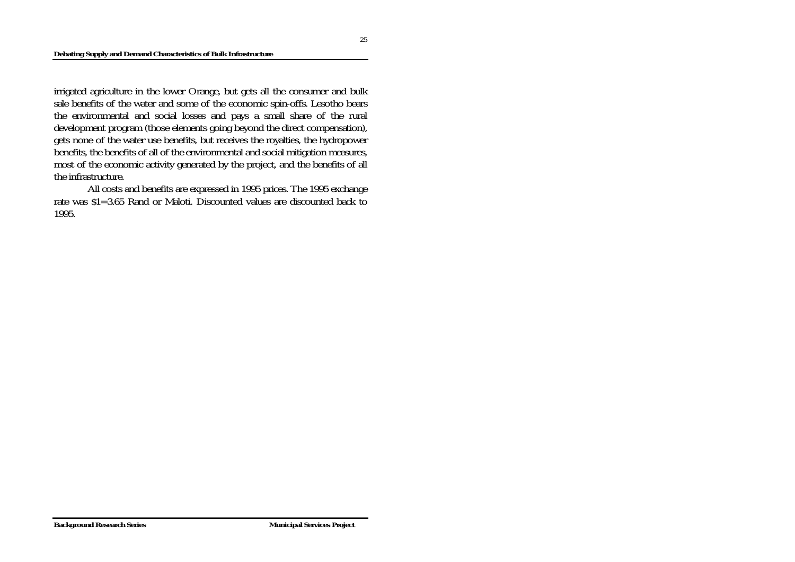irrigated agriculture in the lower Orange, but gets all the consumer and bulk sale benefits of the water and some of the economic spin-offs. Lesotho bears the environmental and social losses and pays a small share of the rural development program (those elements going beyond the direct compensation), gets none of the water use benefits, but receives the royalties, the hydropower benefits, the benefits of all of the environmental and social mitigation measures, most of the economic activity generated by the project, and the benefits of all the infrastructure.

 All costs and benefits are expressed in 1995 prices. The 1995 exchange rate was \$1=3.65 Rand or Maloti. Discounted values are discounted back to 1995.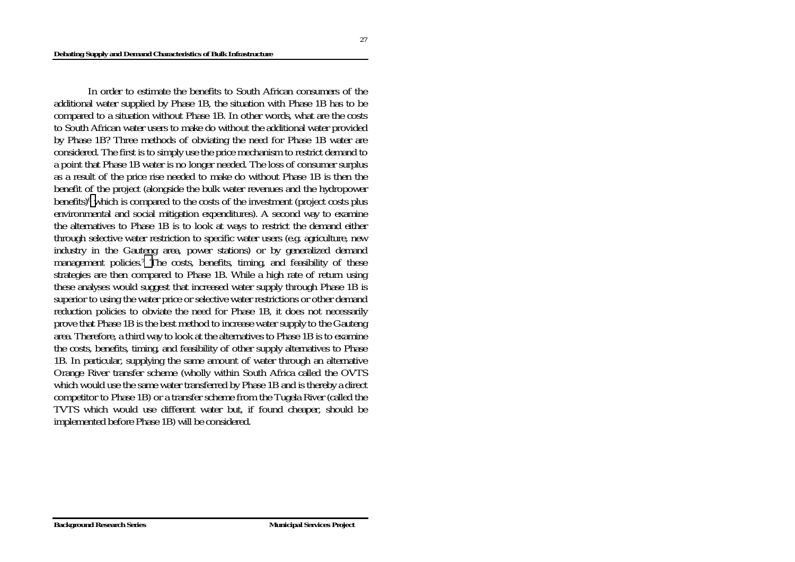In order to estimate the benefits to South African consumers of the additional water supplied by Phase 1B, the situation with Phase 1B has to be compared to a situation without Phase 1B. In other words, what are the costs to South African water users to make do without the additional water provided by Phase 1B? Three methods of obviating the need for Phase 1B water are considered. The first is to simply use the price mechanism to restrict demand to a point that Phase 1B water is no longer needed. The loss of consumer surplus as a result of the price rise needed to make do without Phase 1B is then the benefit of the project (alongside the bulk water revenues and the hydropower benefits) [6 w](#page-75-0)hich is compared to the costs of the investment (project costs plus environmental and social mitigation expenditures). A second way to examine the alternatives to Phase 1B is to look at ways to restrict the demand either through selective water restriction to specific water users (e.g. agriculture, new industry in the Gauteng area, power stations) or by generalized demand management policies. [7 T](#page-75-0)he costs, benefits, timing, and feasibility of these strategies are then compared to Phase 1B. While a high rate of return using these analyses would suggest that increased water supply through Phase 1B is superior to using the water price or selective water restrictions or other demand reduction policies to obviate the need for Phase 1B, it does not necessarily prove that Phase 1B is the best method to increase water supply to the Gauteng area. Therefore, a third way to look at the alternatives to Phase 1B is to examine the costs, benefits, timing, and feasibility of other supply alternatives to Phase 1B. In particular, supplying the same amount of water through an alternative Orange River transfer scheme (wholly within South Africa called the OVTS which would use the same water transferred by Phase 1B and is thereby a direct competitor to Phase 1B) or a transfer scheme from the Tugela River (called the TVTS which would use different water but, if found cheaper, should be implemented before Phase 1B) will be considered.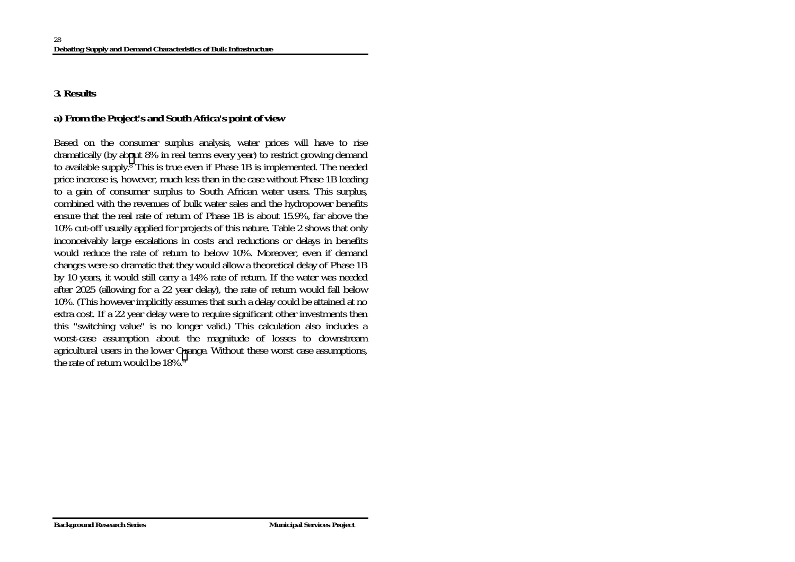## **3. Results**

## **a) From the Project's and South Africa's point of view**

Based on the consumer surplus analysis, water prices will have to rise dramatically (by a[bou](#page-75-0)t 8% in real terms every year) to restrict growing demand to available supply.8 This is true even if Phase 1B is implemented. The needed price increase is, however, much less than in the case without Phase 1B leading to a gain of consumer surplus to South African water users. This surplus, combined with the revenues of bulk water sales and the hydropower benefits ensure that the real rate of return of Phase 1B is about 15.9%, far above the 10% cut-off usually applied for projects of this nature. Table 2 shows that only inconceivably large escalations in costs and reductions or delays in benefits would reduce the rate of return to below 10%. Moreover, even if demand changes were so dramatic that they would allow a theoretical delay of Phase 1B by 10 years, it would still carry a 14% rate of return. If the water was needed after 2025 (allowing for a 22 year delay), the rate of return would fall below 10%. (This however implicitly assumes that such a delay could be attained at no extra cost. If a 22 year delay were to require significant other investments then this "switching value" is no longer valid.) This calculation also includes a worst-case assumption about the magnitude of losses to downstream agricultural users in the lower [Or](#page-75-0)ange. Without these worst case assumptions, the rate of return would be 18%. 9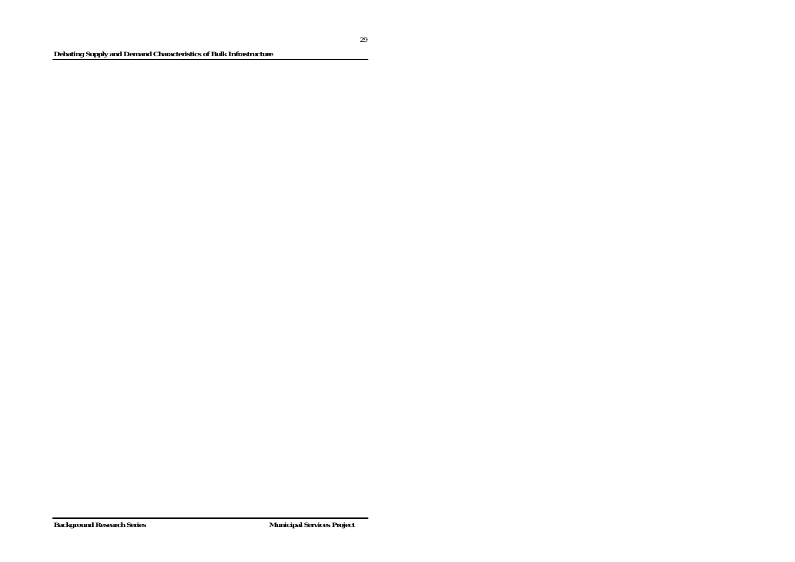**Debating Supply and Demand Characteristics of Bulk Infrastructure**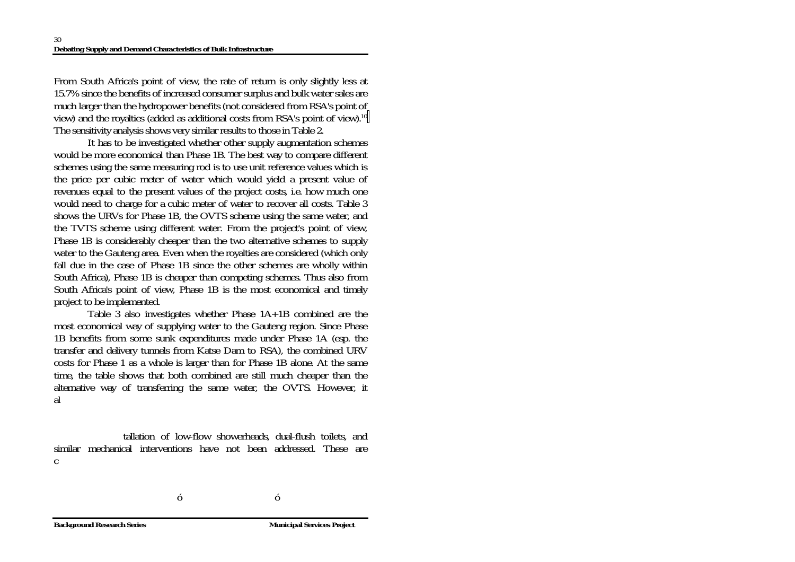From South Africa's point of view, the rate of return is only slightly less at 15.7% since the benefits of increased consumer surplus and bulk water sales are much larger than the hydropower benefits (not considered from RSA's point of view) and the royalties (added as additional costs from RSA's point of view).1[0](#page-75-0) The sensitivity analysis shows very similar results to those in Table 2.

 It has to be investigated whether other supply augmentation schemes would be more economical than Phase 1B. The best way to compare different schemes using the same measuring rod is to use unit reference values which is the price per cubic meter of water which would yield a present value of revenues equal to the present values of the project costs, i.e. how much one would need to charge for a cubic meter of water to recover all costs. Table 3 shows the URVs for Phase 1B, the OVTS scheme using the same water, and the TVTS scheme using different water. From the project's point of view, Phase 1B is considerably cheaper than the two alternative schemes to supply water to the Gauteng area. Even when the royalties are considered (which only fall due in the case of Phase 1B since the other schemes are wholly within South Africa), Phase 1B is cheaper than competing schemes. Thus also from South Africa's point of view, Phase 1B is the most economical and timely project to be implemented.

 Table 3 also investigates whether Phase 1A+1B combined are the most economical way of supplying water to the Gauteng region. Since Phase 1B benefits from some sunk expenditures made under Phase 1A (esp. the transfer and delivery tunnels from Katse Dam to RSA), the combined URV costs for Phase 1 as a whole is larger than for Phase 1B alone. At the same time, the table shows that both combined are still much cheaper than the alternative way of transferring the same water, the OVTS. However, it al alternative contract the contract of the contract of the contract of the contract of the contract of the contract of the contract of the contract of the contract of the contract of the contract of the contract of the co

tallation of low-flow showerheads, dual-flush toilets, and similar mechanical interventions have not been addressed. These are  $\mathbf c$ 

óó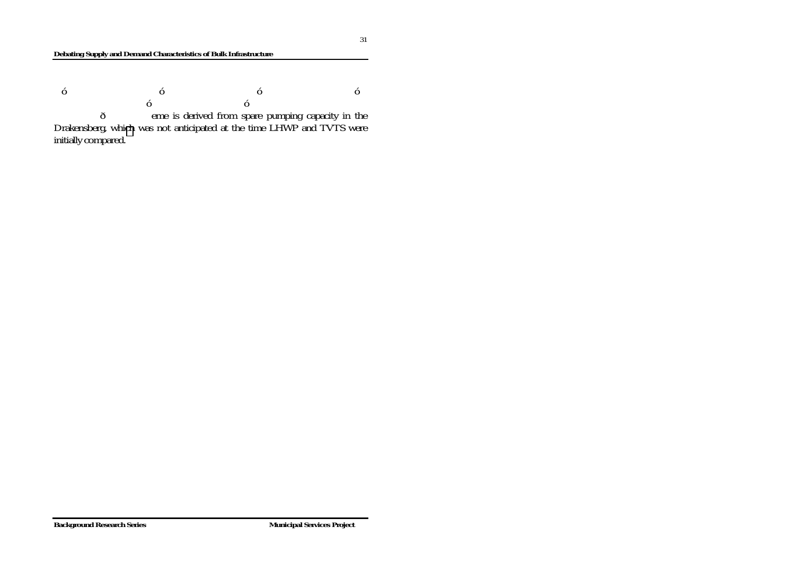**Debating Supply and Demand Characteristics of Bulk Infrastructure** 

óóóó $\acute{\rm{o}}$ óó ðeme is derived from spare pumping capacity in the Drakensberg, whi[ch](#page-75-0) was not anticipated at the time LHWP and TVTS were initially compared.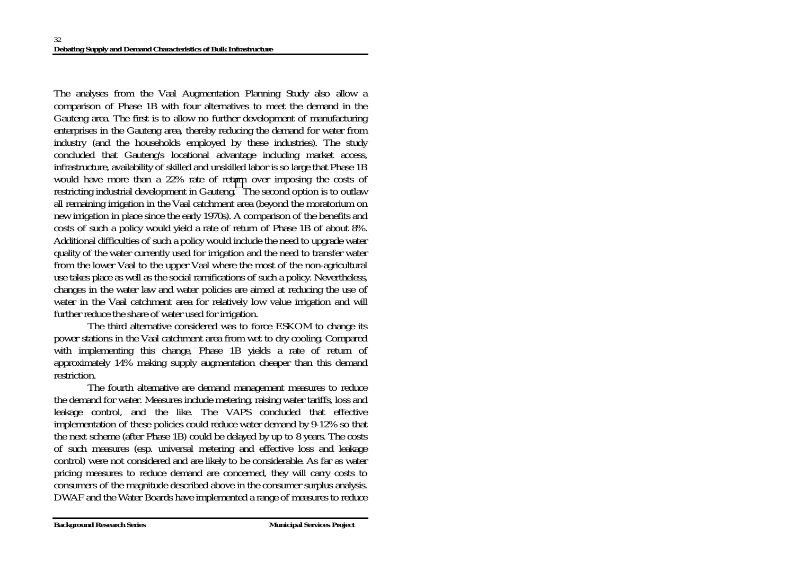The analyses from the Vaal Augmentation Planning Study also allow a comparison of Phase 1B with four alternatives to meet the demand in the Gauteng area. The first is to allow no further development of manufacturing enterprises in the Gauteng area, thereby reducing the demand for water from industry (and the households employed by these industries). The study concluded that Gauteng's locational advantage including market access, infrastructure, availability of skilled and unskilled labor is so large that Phase 1B would have more than a 22% rate of ret[urn](#page-75-0) over imposing the costs of restricting industrial development in Gauteng. The second option is to outlaw all remaining irrigation in the Vaal catchment area (beyond the moratorium on new irrigation in place since the early 1970s). A comparison of the benefits and costs of such a policy would yield a rate of return of Phase 1B of about 8%. Additional difficulties of such a policy would include the need to upgrade water quality of the water currently used for irrigation and the need to transfer water from the lower Vaal to the upper Vaal where the most of the non-agricultural use takes place as well as the social ramifications of such a policy. Nevertheless, changes in the water law and water policies are aimed at reducing the use of water in the Vaal catchment area for relatively low value irrigation and will further reduce the share of water used for irrigation.

 The third alternative considered was to force ESKOM to change its power stations in the Vaal catchment area from wet to dry cooling. Compared with implementing this change, Phase 1B yields a rate of return of approximately 14% making supply augmentation cheaper than this demand restriction.

 The fourth alternative are demand management measures to reduce the demand for water. Measures include metering, raising water tariffs, loss and leakage control, and the like. The VAPS concluded that effective implementation of these policies could reduce water demand by 9-12% so that the next scheme (after Phase 1B) could be delayed by up to 8 years. The costs of such measures (esp. universal metering and effective loss and leakage control) were not considered and are likely to be considerable. As far as water pricing measures to reduce demand are concerned, they will carry costs to consumers of the magnitude described above in the consumer surplus analysis. DWAF and the Water Boards have implemented a range of measures to reduce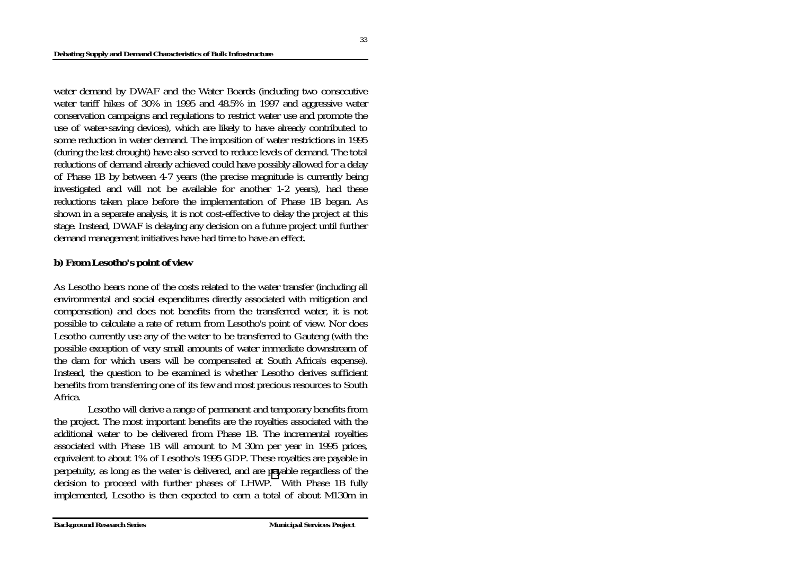water demand by DWAF and the Water Boards (including two consecutive water tariff hikes of 30% in 1995 and 48.5% in 1997 and aggressive water conservation campaigns and regulations to restrict water use and promote the use of water-saving devices), which are likely to have already contributed to some reduction in water demand. The imposition of water restrictions in 1995 (during the last drought) have also served to reduce levels of demand. The total reductions of demand already achieved could have possibly allowed for a delay of Phase 1B by between 4-7 years (the precise magnitude is currently being investigated and will not be available for another 1-2 years), had these reductions taken place before the implementation of Phase 1B began. As shown in a separate analysis, it is not cost-effective to delay the project at this stage. Instead, DWAF is delaying any decision on a future project until further demand management initiatives have had time to have an effect.

#### **b) From Lesotho's point of view**

As Lesotho bears none of the costs related to the water transfer (including all environmental and social expenditures directly associated with mitigation and compensation) and does not benefits from the transferred water, it is not possible to calculate a rate of return from Lesotho's point of view. Nor does Lesotho currently use any of the water to be transferred to Gauteng (with the possible exception of very small amounts of water immediate downstream of the dam for which users will be compensated at South Africa's expense). Instead, the question to be examined is whether Lesotho derives sufficient benefits from transferring one of its few and most precious resources to South Africa.

 Lesotho will derive a range of permanent and temporary benefits from the project. The most important benefits are the royalties associated with the additional water to be delivered from Phase 1B. The incremental royalties associated with Phase 1B will amount to M 30m per year in 1995 prices, equivalent to about 1% of Lesotho's 1995 GDP. These royalties are payable in perpetuity, as long as the water is delivered, and are [pay](#page-75-0)able regardless of the decision to proceed with further phases of LHWP. With Phase 1B fully implemented, Lesotho is then expected to earn a total of about M130m in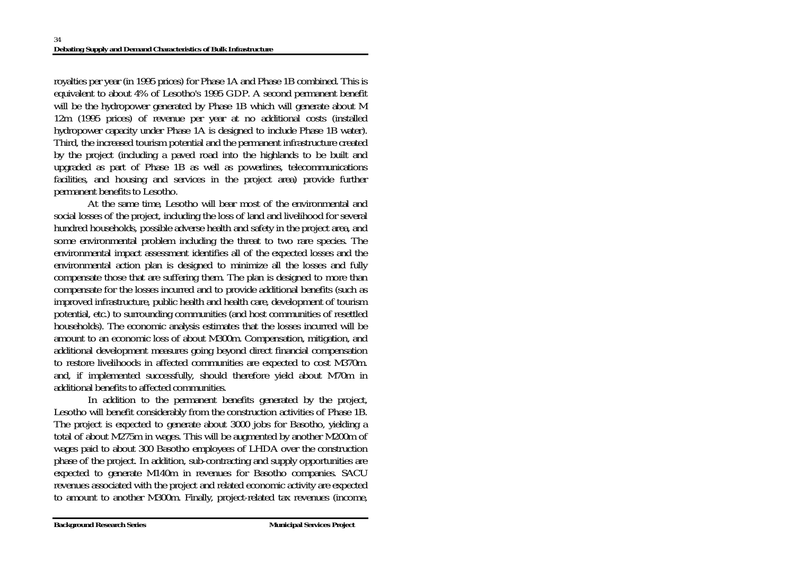royalties per year (in 1995 prices) for Phase 1A and Phase 1B combined. This is equivalent to about 4% of Lesotho's 1995 GDP. A second permanent benefit will be the hydropower generated by Phase 1B which will generate about M 12m (1995 prices) of revenue per year at no additional costs (installed hydropower capacity under Phase 1A is designed to include Phase 1B water). Third, the increased tourism potential and the permanent infrastructure created by the project (including a paved road into the highlands to be built and upgraded as part of Phase 1B as well as powerlines, telecommunications facilities, and housing and services in the project area) provide further permanent benefits to Lesotho.

 At the same time, Lesotho will bear most of the environmental and social losses of the project, including the loss of land and livelihood for several hundred households, possible adverse health and safety in the project area, and some environmental problem including the threat to two rare species. The environmental impact assessment identifies all of the expected losses and the environmental action plan is designed to minimize all the losses and fully compensate those that are suffering them. The plan is designed to more than compensate for the losses incurred and to provide additional benefits (such as improved infrastructure, public health and health care, development of tourism potential, etc.) to surrounding communities (and host communities of resettled households). The economic analysis estimates that the losses incurred will be amount to an economic loss of about M300m. Compensation, mitigation, and additional development measures going beyond direct financial compensation to restore livelihoods in affected communities are expected to cost M370m. and, if implemented successfully, should therefore yield about M70m in additional benefits to affected communities.

 In addition to the permanent benefits generated by the project, Lesotho will benefit considerably from the construction activities of Phase 1B. The project is expected to generate about 3000 jobs for Basotho, yielding a total of about M275m in wages. This will be augmented by another M200m of wages paid to about 300 Basotho employees of LHDA over the construction phase of the project. In addition, sub-contracting and supply opportunities are expected to generate M140m in revenues for Basotho companies. SACU revenues associated with the project and related economic activity are expected to amount to another M300m. Finally, project-related tax revenues (income,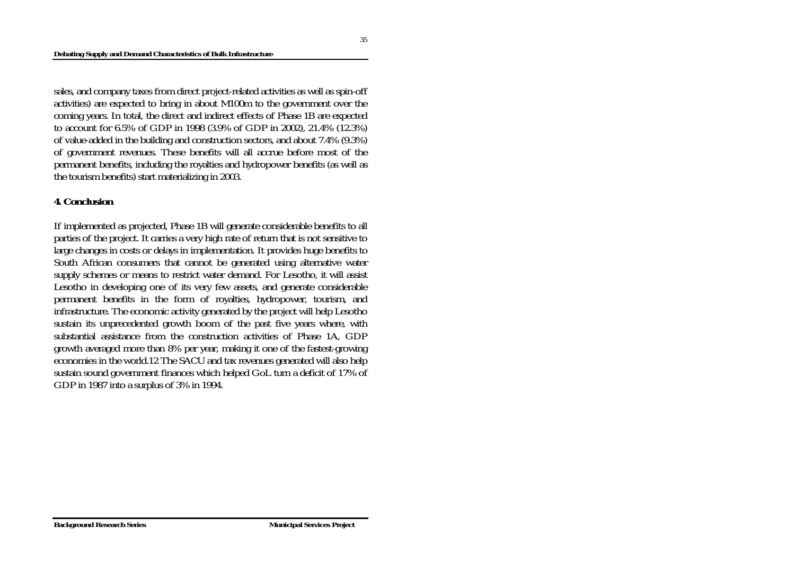sales, and company taxes from direct project-related activities as well as spin-off activities) are expected to bring in about M100m to the government over the coming years. In total, the direct and indirect effects of Phase 1B are expected to account for 6.5% of GDP in 1998 (3.9% of GDP in 2002), 21.4% (12.3%) of value-added in the building and construction sectors, and about 7.4% (9.3%) of government revenues. These benefits will all accrue before most of the permanent benefits, including the royalties and hydropower benefits (as well as the tourism benefits) start materializing in 2003.

## **4. Conclusion**

If implemented as projected, Phase 1B will generate considerable benefits to all parties of the project. It carries a very high rate of return that is not sensitive to large changes in costs or delays in implementation. It provides huge benefits to South African consumers that cannot be generated using alternative water supply schemes or means to restrict water demand. For Lesotho, it will assist Lesotho in developing one of its very few assets, and generate considerable permanent benefits in the form of royalties, hydropower, tourism, and infrastructure. The economic activity generated by the project will help Lesotho sustain its unprecedented growth boom of the past five years where, with substantial assistance from the construction activities of Phase 1A, GDP growth averaged more than 8% per year, making it one of the fastest-growing economies in the world.12 The SACU and tax revenues generated will also help sustain sound government finances which helped GoL turn a deficit of 17% of GDP in 1987 into a surplus of 3% in 1994.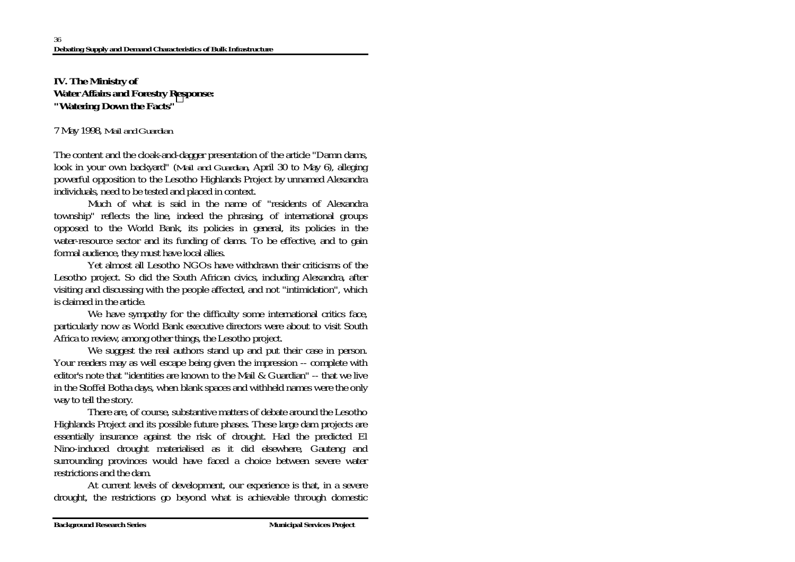**IV. The Ministry of Water Affairs and Forestry [Res](#page-75-0)ponse: "Watering Down the Facts"**

7 May 1998, *Mail and Guardian*

The content and the cloak-and-dagger presentation of the article "Damn dams, look in your own backyard" (*Mail and Guardian*, April 30 to May 6), alleging powerful opposition to the Lesotho Highlands Project by unnamed Alexandra individuals, need to be tested and placed in context.

 Much of what is said in the name of "residents of Alexandra township" reflects the line, indeed the phrasing, of international groups opposed to the World Bank, its policies in general, its policies in the water-resource sector and its funding of dams. To be effective, and to gain formal audience, they must have local allies.

 Yet almost all Lesotho NGOs have withdrawn their criticisms of the Lesotho project. So did the South African civics, including Alexandra, after visiting and discussing with the people affected, and not "intimidation", which is claimed in the article.

 We have sympathy for the difficulty some international critics face, particularly now as World Bank executive directors were about to visit South Africa to review, among other things, the Lesotho project.

 We suggest the real authors stand up and put their case in person. Your readers may as well escape being given the impression -- complete with editor's note that "identities are known to the Mail & Guardian" -- that we live in the Stoffel Botha days, when blank spaces and withheld names were the only way to tell the story.

 There are, of course, substantive matters of debate around the Lesotho Highlands Project and its possible future phases. These large dam projects are essentially insurance against the risk of drought. Had the predicted El Nino-induced drought materialised as it did elsewhere, Gauteng and surrounding provinces would have faced a choice between severe water restrictions and the dam.

 At current levels of development, our experience is that, in a severe drought, the restrictions go beyond what is achievable through domestic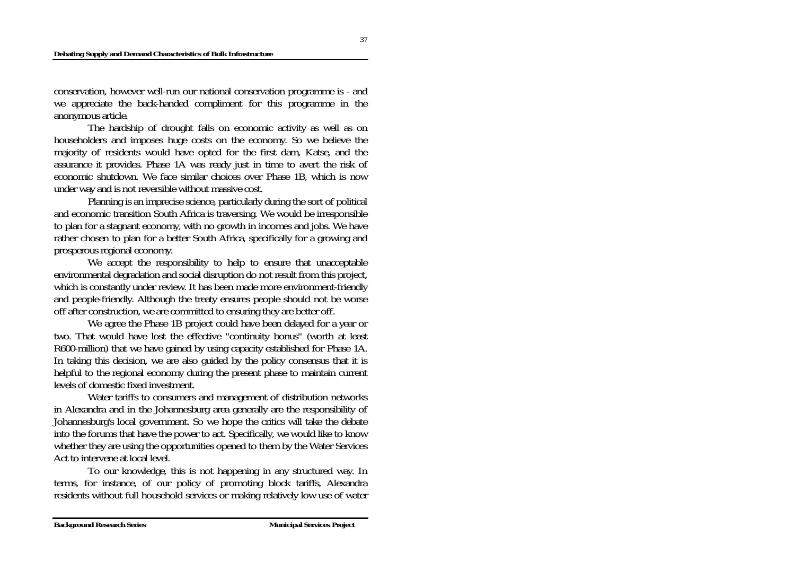conservation, however well-run our national conservation programme is - and we appreciate the back-handed compliment for this programme in the anonymous article.

 The hardship of drought falls on economic activity as well as on householders and imposes huge costs on the economy. So we believe the majority of residents would have opted for the first dam, Katse, and the assurance it provides. Phase 1A was ready just in time to avert the risk of economic shutdown. We face similar choices over Phase 1B, which is now under way and is not reversible without massive cost.

 Planning is an imprecise science, particularly during the sort of political and economic transition South Africa is traversing. We would be irresponsible to plan for a stagnant economy, with no growth in incomes and jobs. We have rather chosen to plan for a better South Africa, specifically for a growing and prosperous regional economy.

 We accept the responsibility to help to ensure that unacceptable environmental degradation and social disruption do not result from this project, which is constantly under review. It has been made more environment-friendly and people-friendly. Although the treaty ensures people should not be worse off after construction, we are committed to ensuring they are better off.

 We agree the Phase 1B project could have been delayed for a year or two. That would have lost the effective "continuity bonus" (worth at least R600-million) that we have gained by using capacity established for Phase 1A. In taking this decision, we are also guided by the policy consensus that it is helpful to the regional economy during the present phase to maintain current levels of domestic fixed investment.

 Water tariffs to consumers and management of distribution networks in Alexandra and in the Johannesburg area generally are the responsibility of Johannesburg's local government. So we hope the critics will take the debate into the forums that have the power to act. Specifically, we would like to know whether they are using the opportunities opened to them by the Water Services Act to intervene at local level.

 To our knowledge, this is not happening in any structured way. In terms, for instance, of our policy of promoting block tariffs, Alexandra residents without full household services or making relatively low use of water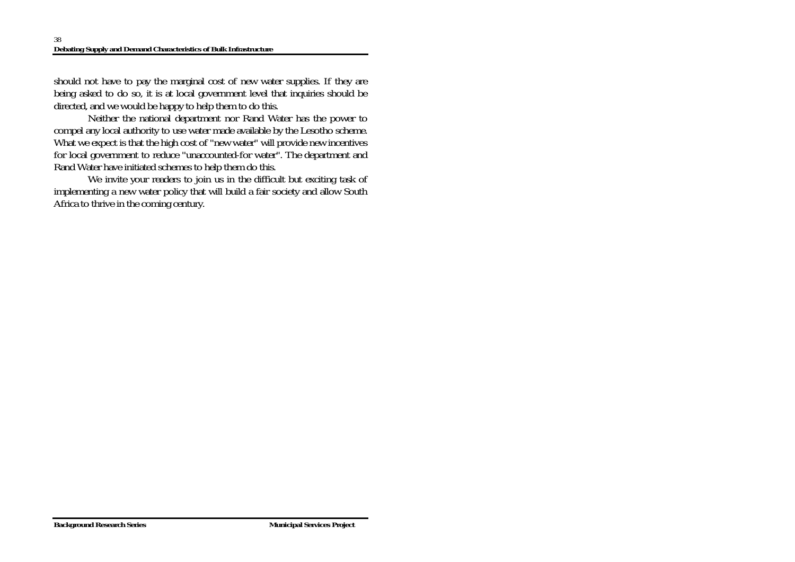should not have to pay the marginal cost of new water supplies. If they are being asked to do so, it is at local government level that inquiries should be directed, and we would be happy to help them to do this.

 Neither the national department nor Rand Water has the power to compel any local authority to use water made available by the Lesotho scheme. What we expect is that the high cost of "new water" will provide new incentives for local government to reduce "unaccounted-for water". The department and Rand Water have initiated schemes to help them do this.

 We invite your readers to join us in the difficult but exciting task of implementing a new water policy that will build a fair society and allow South Africa to thrive in the coming century.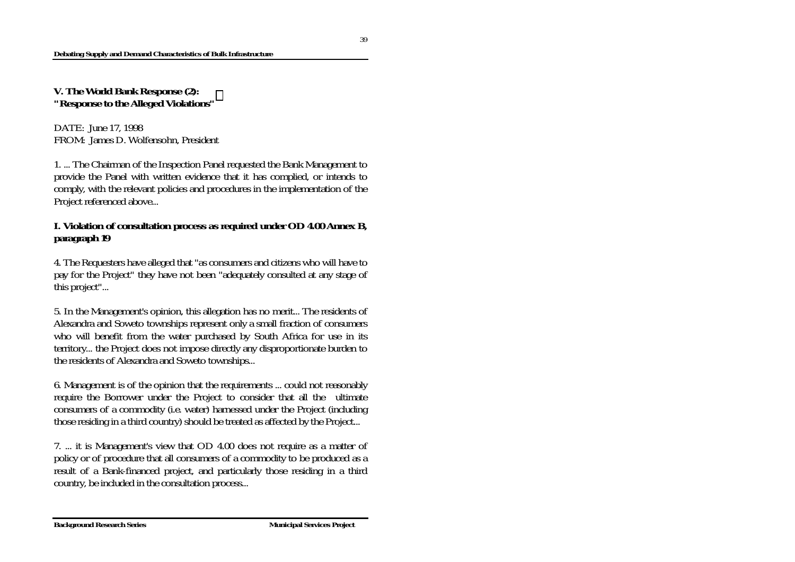**V. The World Bank Response (2): "Response to the Alleged Violations"**

DATE: June 17, 1998 FROM: James D. Wolfensohn, President

1. ... The Chairman of the Inspection Panel requested the Bank Management to provide the Panel with written evidence that it has complied, or intends to comply, with the relevant policies and procedures in the implementation of the Project referenced above...

# **I. Violation of consultation process as required under OD 4.00 Annex B, paragraph 19**

4. The Requesters have alleged that "as consumers and citizens who will have to pay for the Project" they have not been "adequately consulted at any stage of this project"...

5. In the Management's opinion, this allegation has no merit... The residents of Alexandra and Soweto townships represent only a small fraction of consumers who will benefit from the water purchased by South Africa for use in its territory... the Project does not impose directly any disproportionate burden to the residents of Alexandra and Soweto townships...

6. Management is of the opinion that the requirements ... could not reasonably require the Borrower under the Project to consider that all the ultimate consumers of a commodity (i.e. water) harnessed under the Project (including those residing in a third country) should be treated as affected by the Project...

7. ... it is Management's view that OD 4.00 does not require as a matter of policy or of procedure that all consumers of a commodity to be produced as a result of a Bank-financed project, and particularly those residing in a third country, be included in the consultation process...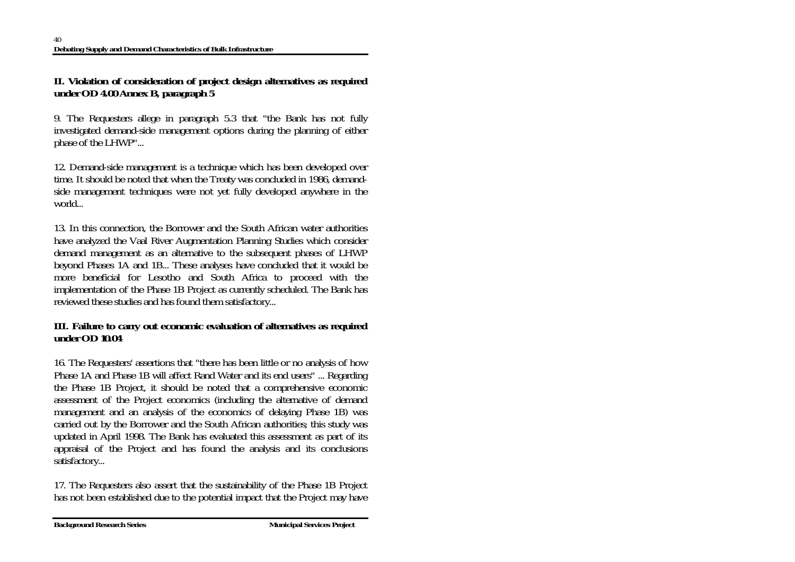# **II. Violation of consideration of project design alternatives as required under OD 4.00 Annex B, paragraph 5**

9. The Requesters allege in paragraph 5.3 that "the Bank has not fully investigated demand-side management options during the planning of either phase of the LHWP"...

12. Demand-side management is a technique which has been developed over time. It should be noted that when the Treaty was concluded in 1986, demandside management techniques were not yet fully developed anywhere in the world...

13. In this connection, the Borrower and the South African water authorities have analyzed the Vaal River Augmentation Planning Studies which consider demand management as an alternative to the subsequent phases of LHWP beyond Phases 1A and 1B... These analyses have concluded that it would be more beneficial for Lesotho and South Africa to proceed with the implementation of the Phase 1B Project as currently scheduled. The Bank has reviewed these studies and has found them satisfactory...

# **III. Failure to carry out economic evaluation of alternatives as required under OD 10.04**

16. The Requesters' assertions that "there has been little or no analysis of how Phase 1A and Phase 1B will affect Rand Water and its end users" ... Regarding the Phase 1B Project, it should be noted that a comprehensive economic assessment of the Project economics (including the alternative of demand management and an analysis of the economics of delaying Phase 1B) was carried out by the Borrower and the South African authorities; this study was updated in April 1998. The Bank has evaluated this assessment as part of its appraisal of the Project and has found the analysis and its conclusions satisfactory...

17. The Requesters also assert that the sustainability of the Phase 1B Project has not been established due to the potential impact that the Project may have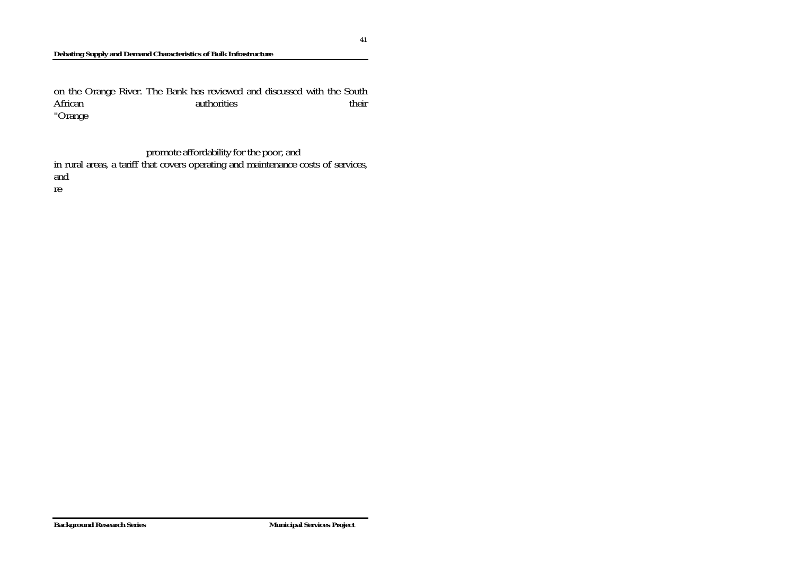on the Orange River. The Bank has reviewed and discussed with the South authorities their "Orange

promote affordability for the poor, and in rural areas, a tariff that covers operating and maintenance costs of services, and re

41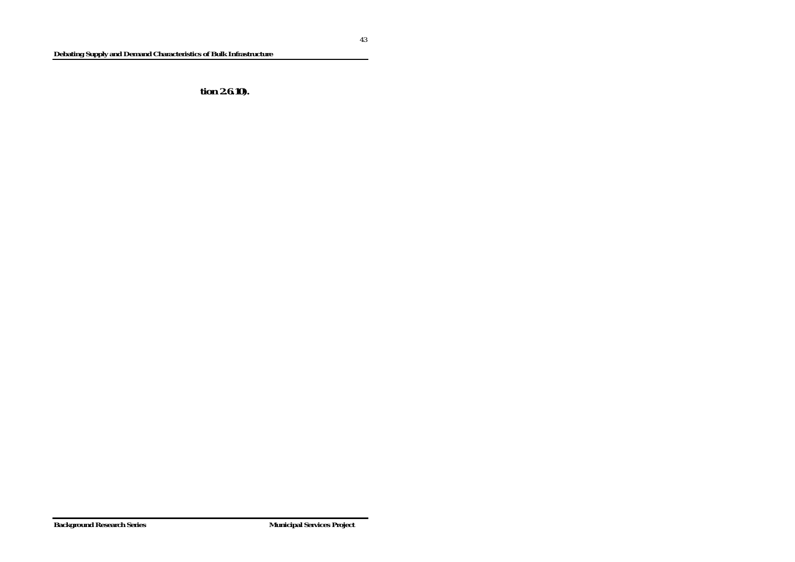**tion 2.6.10).**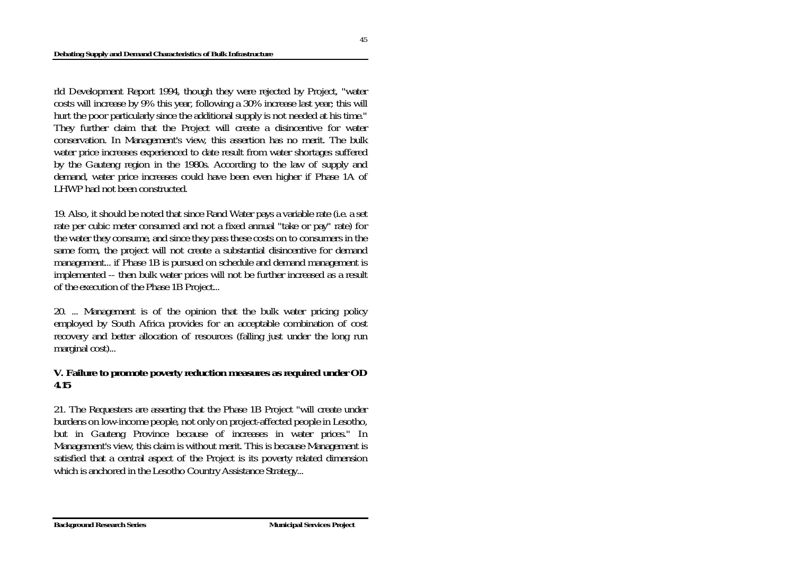rld Development Report 1994, though they were rejected by Project, "water costs will increase by 9% this year, following a 30% increase last year; this will hurt the poor particularly since the additional supply is not needed at his time." They further claim that the Project will create a disincentive for water conservation. In Management's view, this assertion has no merit. The bulk water price increases experienced to date result from water shortages suffered by the Gauteng region in the 1980s. According to the law of supply and demand, water price increases could have been even higher if Phase 1A of LHWP had not been constructed.

19. Also, it should be noted that since Rand Water pays a variable rate (i.e. a set rate per cubic meter consumed and not a fixed annual "take or pay" rate) for the water they consume, and since they pass these costs on to consumers in the same form, the project will not create a substantial disincentive for demand management... if Phase 1B is pursued on schedule and demand management is implemented -- then bulk water prices will not be further increased as a result of the execution of the Phase 1B Project...

20. ... Management is of the opinion that the bulk water pricing policy employed by South Africa provides for an acceptable combination of cost recovery and better allocation of resources (falling just under the long run marginal cost)...

## **V. Failure to promote poverty reduction measures as required under OD 4.15**

21. The Requesters are asserting that the Phase 1B Project "will create under burdens on low-income people, not only on project-affected people in Lesotho, but in Gauteng Province because of increases in water prices." In Management's view, this claim is without merit. This is because Management is satisfied that a central aspect of the Project is its poverty related dimension which is anchored in the Lesotho Country Assistance Strategy...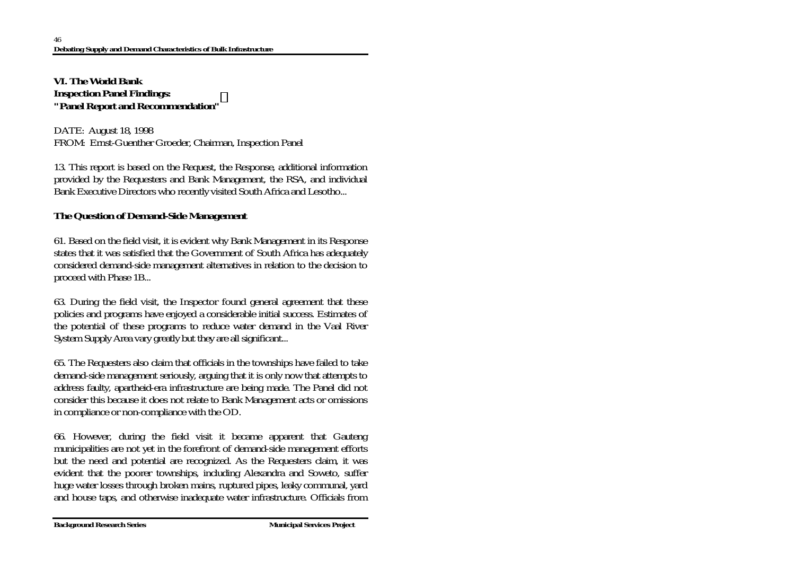## **VI. The World Bank Inspection Panel Findings: "Panel Report and Recommendation"**

DATE: August 18, 1998 FROM: Ernst-Guenther Groeder, Chairman, Inspection Panel

13. This report is based on the Request, the Response, additional information provided by the Requesters and Bank Management, the RSA, and individual Bank Executive Directors who recently visited South Africa and Lesotho...

# **The Question of Demand-Side Management**

61. Based on the field visit, it is evident why Bank Management in its Response states that it was satisfied that the Government of South Africa has adequately considered demand-side management alternatives in relation to the decision to proceed with Phase 1B...

63. During the field visit, the Inspector found general agreement that these policies and programs have enjoyed a considerable initial success. Estimates of the potential of these programs to reduce water demand in the Vaal River System Supply Area vary greatly but they are all significant...

65. The Requesters also claim that officials in the townships have failed to take demand-side management seriously, arguing that it is only now that attempts to address faulty, apartheid-era infrastructure are being made. The Panel did not consider this because it does not relate to Bank Management acts or omissions in compliance or non-compliance with the OD.

66. However, during the field visit it became apparent that Gauteng municipalities are not yet in the forefront of demand-side management efforts but the need and potential are recognized. As the Requesters claim, it was evident that the poorer townships, including Alexandra and Soweto, suffer huge water losses through broken mains, ruptured pipes, leaky communal, yard and house taps, and otherwise inadequate water infrastructure. Officials from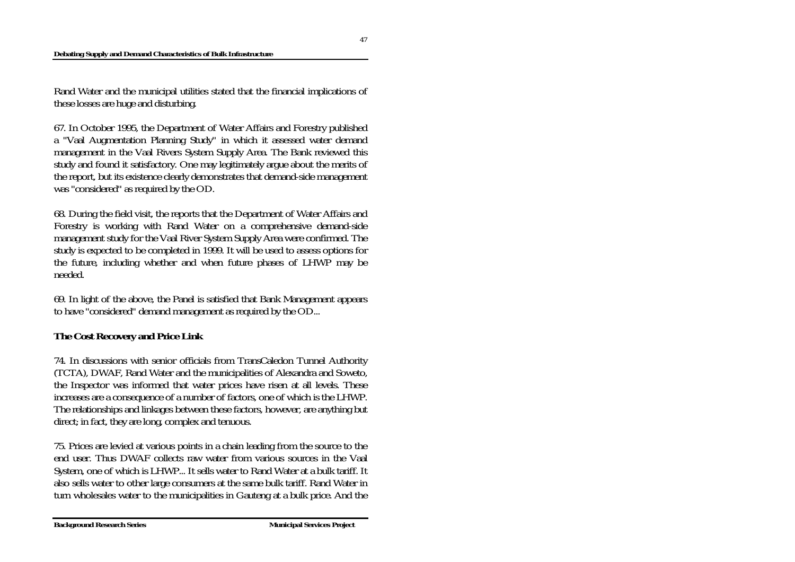Rand Water and the municipal utilities stated that the financial implications of these losses are huge and disturbing.

67. In October 1995, the Department of Water Affairs and Forestry published <sup>a</sup>"Vaal Augmentation Planning Study" in which it assessed water demand management in the Vaal Rivers System Supply Area. The Bank reviewed this study and found it satisfactory. One may legitimately argue about the merits of the report, but its existence clearly demonstrates that demand-side management was "considered" as required by the OD.

68. During the field visit, the reports that the Department of Water Affairs and Forestry is working with Rand Water on a comprehensive demand-side management study for the Vaal River System Supply Area were confirmed. The study is expected to be completed in 1999. It will be used to assess options for the future, including whether and when future phases of LHWP may be needed.

69. In light of the above, the Panel is satisfied that Bank Management appears to have "considered" demand management as required by the OD...

#### **The Cost Recovery and Price Link**

74. In discussions with senior officials from TransCaledon Tunnel Authority (TCTA), DWAF, Rand Water and the municipalities of Alexandra and Soweto, the Inspector was informed that water prices have risen at all levels. These increases are a consequence of a number of factors, one of which is the LHWP. The relationships and linkages between these factors, however, are anything but direct; in fact, they are long, complex and tenuous.

75. Prices are levied at various points in a chain leading from the source to the end user. Thus DWAF collects raw water from various sources in the Vaal System, one of which is LHWP... It sells water to Rand Water at a bulk tariff. It also sells water to other large consumers at the same bulk tariff. Rand Water in turn wholesales water to the municipalities in Gauteng at a bulk price. And the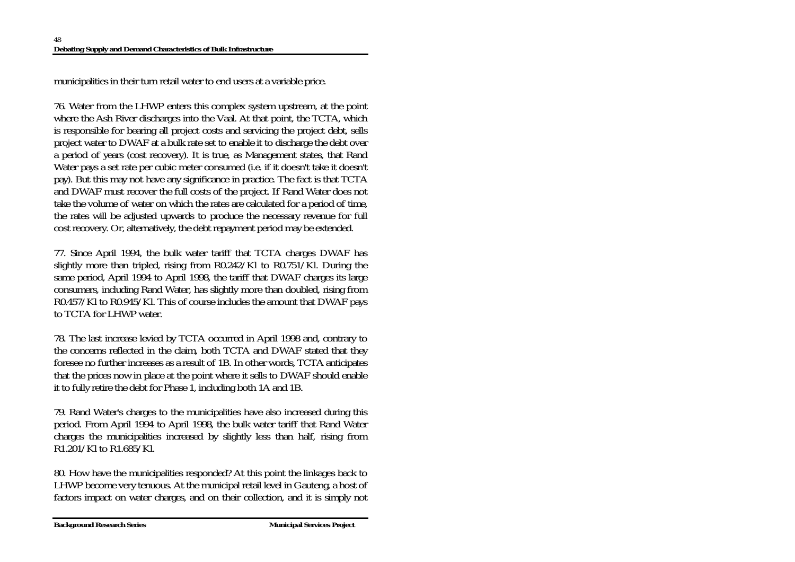municipalities in their turn retail water to end users at a variable price.

76. Water from the LHWP enters this complex system upstream, at the point where the Ash River discharges into the Vaal. At that point, the TCTA, which is responsible for bearing all project costs and servicing the project debt, sells project water to DWAF at a bulk rate set to enable it to discharge the debt over a period of years (cost recovery). It is true, as Management states, that Rand Water pays a set rate per cubic meter consumed (i.e. if it doesn't take it doesn't pay). But this may not have any significance in practice. The fact is that TCTA and DWAF must recover the full costs of the project. If Rand Water does not take the volume of water on which the rates are calculated for a period of time, the rates will be adjusted upwards to produce the necessary revenue for full cost recovery. Or, alternatively, the debt repayment period may be extended.

77. Since April 1994, the bulk water tariff that TCTA charges DWAF has slightly more than tripled, rising from R0.242/Kl to R0.751/Kl. During the same period, April 1994 to April 1998, the tariff that DWAF charges its large consumers, including Rand Water, has slightly more than doubled, rising from R0.457/Kl to R0.945/Kl. This of course includes the amount that DWAF pays to TCTA for LHWP water.

78. The last increase levied by TCTA occurred in April 1998 and, contrary to the concerns reflected in the claim, both TCTA and DWAF stated that they foresee no further increases as a result of 1B. In other words, TCTA anticipates that the prices now in place at the point where it sells to DWAF should enable it to fully retire the debt for Phase 1, including both 1A and 1B.

79. Rand Water's charges to the municipalities have also increased during this period. From April 1994 to April 1998, the bulk water tariff that Rand Water charges the municipalities increased by slightly less than half, rising from R1.201/Kl to R1.685/Kl.

80. How have the municipalities responded? At this point the linkages back to LHWP become very tenuous. At the municipal retail level in Gauteng, a host of factors impact on water charges, and on their collection, and it is simply not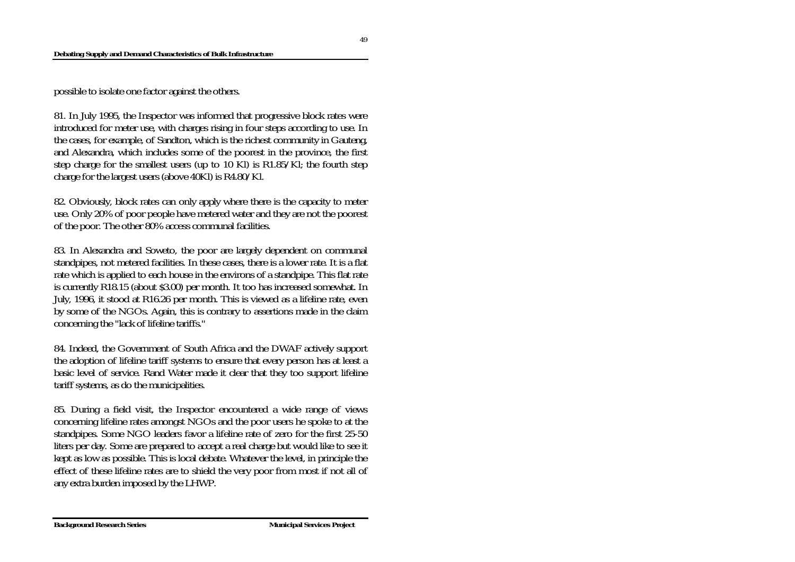possible to isolate one factor against the others.

81. In July 1995, the Inspector was informed that progressive block rates were introduced for meter use, with charges rising in four steps according to use. In the cases, for example, of Sandton, which is the richest community in Gauteng, and Alexandra, which includes some of the poorest in the province, the first step charge for the smallest users (up to 10 Kl) is R1.85/Kl; the fourth step charge for the largest users (above 40Kl) is R4.80/Kl.

82. Obviously, block rates can only apply where there is the capacity to meter use. Only 20% of poor people have metered water and they are not the poorest of the poor. The other 80% access communal facilities.

83. In Alexandra and Soweto, the poor are largely dependent on communal standpipes, not metered facilities. In these cases, there is a lower rate. It is a flat rate which is applied to each house in the environs of a standpipe. This flat rate is currently R18.15 (about \$3.00) per month. It too has increased somewhat. In July, 1996, it stood at R16.26 per month. This is viewed as a lifeline rate, even by some of the NGOs. Again, this is contrary to assertions made in the claim concerning the "lack of lifeline tariffs."

84. Indeed, the Government of South Africa and the DWAF actively support the adoption of lifeline tariff systems to ensure that every person has at least a basic level of service. Rand Water made it clear that they too support lifeline tariff systems, as do the municipalities.

85. During a field visit, the Inspector encountered a wide range of views concerning lifeline rates amongst NGOs and the poor users he spoke to at the standpipes. Some NGO leaders favor a lifeline rate of zero for the first 25-50 liters per day. Some are prepared to accept a real charge but would like to see it kept as low as possible. This is local debate. Whatever the level, in principle the effect of these lifeline rates are to shield the very poor from most if not all of any extra burden imposed by the LHWP.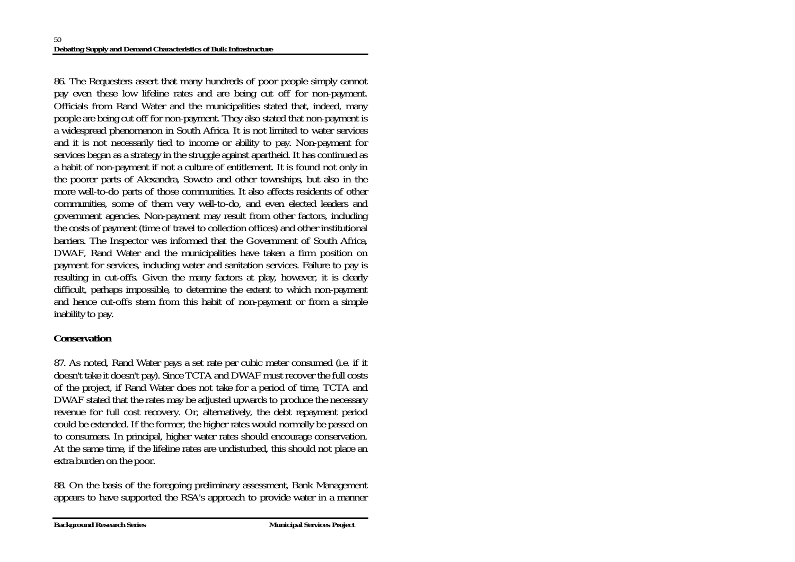86. The Requesters assert that many hundreds of poor people simply cannot pay even these low lifeline rates and are being cut off for non-payment. Officials from Rand Water and the municipalities stated that, indeed, many people are being cut off for non-payment. They also stated that non-payment is a widespread phenomenon in South Africa. It is not limited to water services and it is not necessarily tied to income or ability to pay. Non-payment for services began as a strategy in the struggle against apartheid. It has continued as a habit of non-payment if not a culture of entitlement. It is found not only in the poorer parts of Alexandra, Soweto and other townships, but also in the more well-to-do parts of those communities. It also affects residents of other communities, some of them very well-to-do, and even elected leaders and government agencies. Non-payment may result from other factors, including the costs of payment (time of travel to collection offices) and other institutional barriers. The Inspector was informed that the Government of South Africa, DWAF, Rand Water and the municipalities have taken a firm position on payment for services, including water and sanitation services. Failure to pay is resulting in cut-offs. Given the many factors at play, however, it is clearly difficult, perhaps impossible, to determine the extent to which non-payment and hence cut-offs stem from this habit of non-payment or from a simple inability to pay.

# **Conservation**

87. As noted, Rand Water pays a set rate per cubic meter consumed (i.e. if it doesn't take it doesn't pay). Since TCTA and DWAF must recover the full costs of the project, if Rand Water does not take for a period of time, TCTA and DWAF stated that the rates may be adjusted upwards to produce the necessary revenue for full cost recovery. Or, alternatively, the debt repayment period could be extended. If the former, the higher rates would normally be passed on to consumers. In principal, higher water rates should encourage conservation. At the same time, if the lifeline rates are undisturbed, this should not place an extra burden on the poor.

88. On the basis of the foregoing preliminary assessment, Bank Management appears to have supported the RSA's approach to provide water in a manner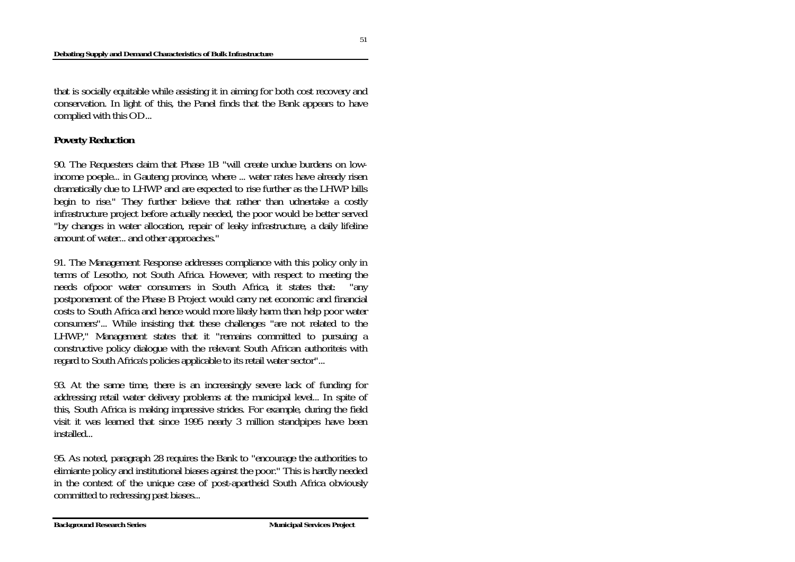that is socially equitable while assisting it in aiming for both cost recovery and conservation. In light of this, the Panel finds that the Bank appears to have complied with this OD...

### **Poverty Reduction**

90. The Requesters claim that Phase 1B "will create undue burdens on lowincome poeple... in Gauteng province, where ... water rates have already risen dramatically due to LHWP and are expected to rise further as the LHWP bills begin to rise." They further believe that rather than udnertake a costly infrastructure project before actually needed, the poor would be better served "by changes in water allocation, repair of leaky infrastructure, a daily lifeline amount of water... and other approaches."

91. The Management Response addresses compliance with this policy only in terms of Lesotho, not South Africa. However, with respect to meeting the needs ofpoor water consumers in South Africa, it states that: "any postponement of the Phase B Project would carry net economic and financial costs to South Africa and hence would more likely harm than help poor water consumers"... While insisting that these challenges "are not related to the LHWP," Management states that it "remains committed to pursuing a constructive policy dialogue with the relevant South African authoriteis with regard to South Africa's policies applicable to its retail water sector"...

93. At the same time, there is an increasingly severe lack of funding for addressing retail water delivery problems at the municipal level... In spite of this, South Africa is making impressive strides. For example, during the field visit it was learned that since 1995 nearly 3 million standpipes have been installed...

95. As noted, paragraph 28 requires the Bank to "encourage the authorities to elimiante policy and institutional biases against the poor." This is hardly needed in the context of the unique case of post-apartheid South Africa obviously committed to redressing past biases...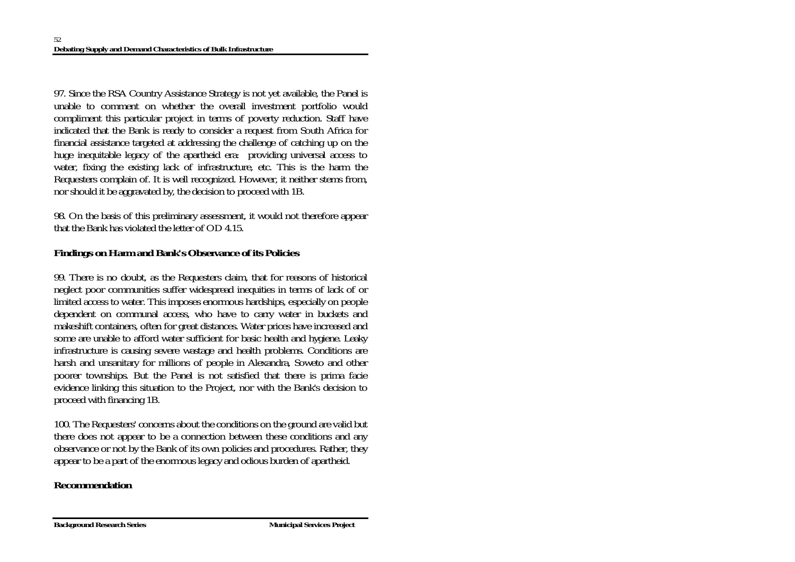97. Since the RSA Country Assistance Strategy is not yet available, the Panel is unable to comment on whether the overall investment portfolio would compliment this particular project in terms of poverty reduction. Staff have indicated that the Bank is ready to consider a request from South Africa for financial assistance targeted at addressing the challenge of catching up on the huge inequitable legacy of the apartheid era: providing universal access to water, fixing the existing lack of infrastructure, etc. This is the harm the Requesters complain of. It is well recognized. However, it neither stems from, nor should it be aggravated by, the decision to proceed with 1B.

98. On the basis of this preliminary assessment, it would not therefore appear that the Bank has violated the letter of OD 4.15.

## **Findings on Harm and Bank's Observance of its Policies**

99. There is no doubt, as the Requesters claim, that for reasons of historical neglect poor communities suffer widespread inequities in terms of lack of or limited access to water. This imposes enormous hardships, especially on people dependent on communal access, who have to carry water in buckets and makeshift containers, often for great distances. Water prices have increased and some are unable to afford water sufficient for basic health and hygiene. Leaky infrastructure is causing severe wastage and health problems. Conditions are harsh and unsanitary for millions of people in Alexandra, Soweto and other poorer townships. But the Panel is not satisfied that there is prima facie evidence linking this situation to the Project, nor with the Bank's decision to proceed with financing 1B.

100. The Requesters' concerns about the conditions on the ground are valid but there does not appear to be a connection between these conditions and any observance or not by the Bank of its own policies and procedures. Rather, they appear to be a part of the enormous legacy and odious burden of apartheid.

#### **Recommendation**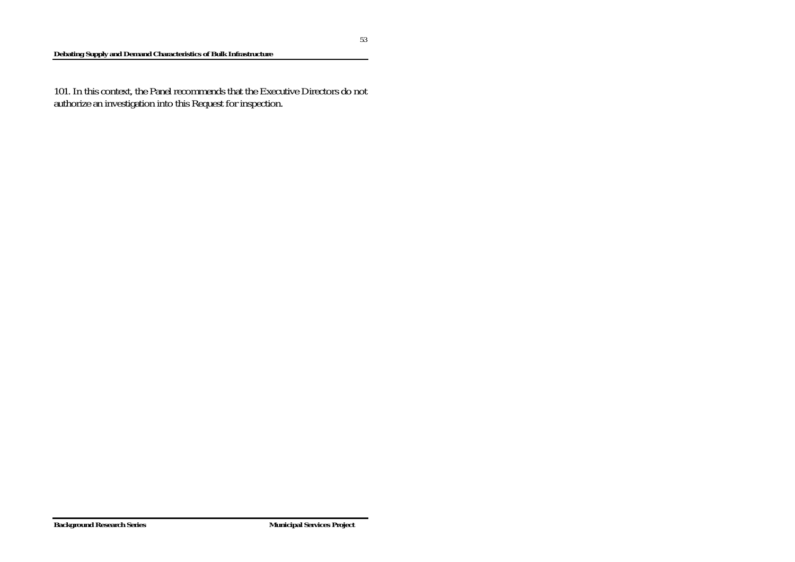101. In this context, the Panel recommends that the Executive Directors do not authorize an investigation into this Request for inspection.

53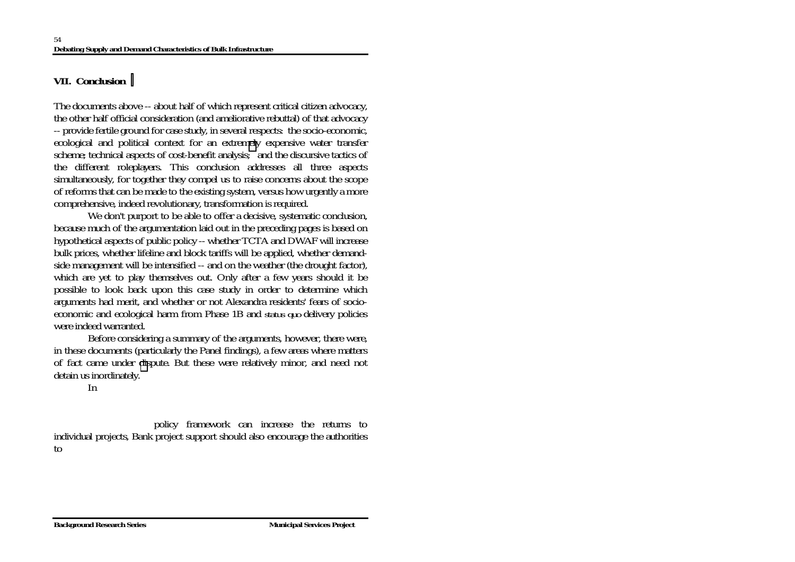### **VII. Conclusion**

The documents above -- about half of which represent critical citizen advocacy, the other half official consideration (and ameliorative rebuttal) of that advocacy -- provide fertile ground for case study, in several respects: the socio-economic, ecological and political context for an extre[mely](#page-75-0) expensive water transfer scheme; technical aspects of cost-benefit analysis; and the discursive tactics of the different roleplayers. This conclusion addresses all three aspects simultaneously, for together they compel us to raise concerns about the scope of reforms that can be made to the existing system, versus how urgently a more comprehensive, indeed revolutionary, transformation is required.

We don't purport to be able to offer a decisive, systematic conclusion, because much of the argumentation laid out in the preceding pages is based on hypothetical aspects of public policy -- whether TCTA and DWAF will increase bulk prices, whether lifeline and block tariffs will be applied, whether demandside management will be intensified -- and on the weather (the drought factor), which are yet to play themselves out. Only after a few years should it be possible to look back upon this case study in order to determine which arguments had merit, and whether or not Alexandra residents' fears of socioeconomic and ecological harm from Phase 1B and *status quo* delivery policies were indeed warranted.

 Before considering a summary of the arguments, however, there were, in these documents (particularly the Panel findings), a few areas where matters of fact came under [dis](#page-75-0)pute. But these were relatively minor, and need not detain us inordinately.

In the same state of the state of the state of the state of the state of the state of the state of the state of the state of the state of the state of the state of the state of the state of the state of the state of the st

policy framework can increase the returns to individual projects, Bank project support should also encourage the authorities to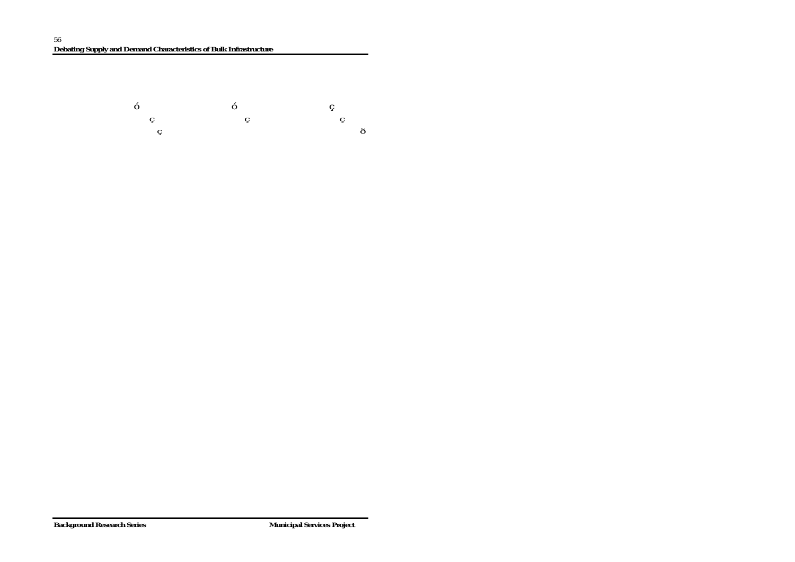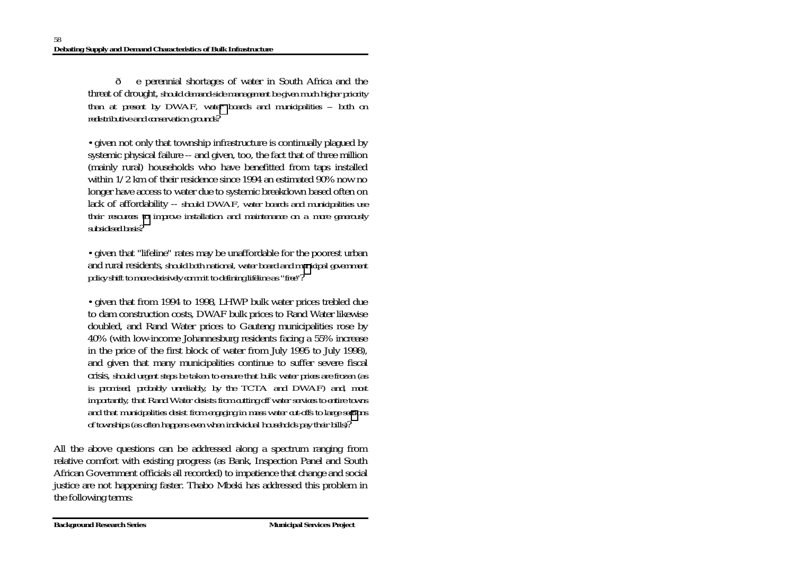ðe perennial shortages of water in South Africa and the threat of drought, *should demand-side management be given much higher priority than at present by DWAF, wat[er](#page-75-0) boards and municipalities -- both on redistributive and conservation grounds*?

• given not only that township infrastructure is continually plagued by systemic physical failure -- and given, too, the fact that of three million (mainly rural) households who have benefitted from taps installed within 1/2 km of their residence since 1994 an estimated 90% now no longer have access to water due to systemic breakdown based often on lack of affordability -- *should DWAF, water boards and municipalities use their resources [to](#page-75-0) improve installation and maintenance on a more generously subsidised basis*?

 • given that "lifeline" rates may be unaffordable for the poorest urban and rural residents, *should both national, water board and [muni](#page-75-0)cipal government policy shift to more decisively commit to defining lifeline as "free"* ?

 • given that from 1994 to 1998, LHWP bulk water prices trebled due to dam construction costs, DWAF bulk prices to Rand Water likewise doubled, and Rand Water prices to Gauteng municipalities rose by 40% (with low-income Johannesburg residents facing a 55% increase in the price of the first block of water from July 1995 to July 1998), and given that many municipalities continue to suffer severe fiscal crisis, *should urgent steps be taken to ensure that bulk water prices are frozen (as*  is promised, probably unreliably, by the TCTA and DWAF) and, most *importantly, that Rand Water desists from cutting off water services to entire towns and that municipalities desist from engaging in mass water cut-offs to large s[ectio](#page-75-0)ns of townships (as often happens even when individual households pay their bills)* ?

All the above questions can be addressed along a spectrum ranging from relative comfort with existing progress (as Bank, Inspection Panel and South African Government officials all recorded) to impatience that change and social justice are not happening faster. Thabo Mbeki has addressed this problem in the following terms: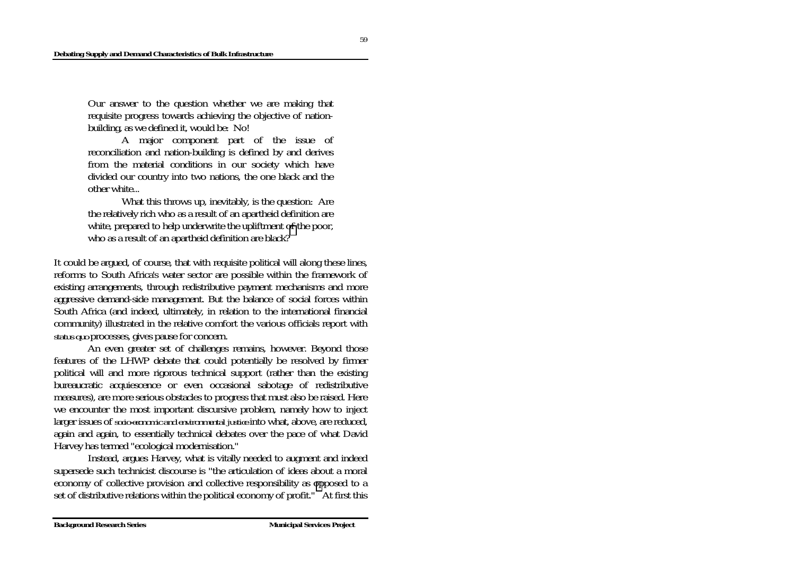Our answer to the question whether we are making that requisite progress towards achieving the objective of nationbuilding, as we defined it, would be: No!

 A major component part of the issue of reconciliation and nation-building is defined by and derives from the material conditions in our society which have divided our country into two nations, the one black and the other white...

 What this throws up, inevitably, is the question: Are the relatively rich who as a result of an apartheid definition are white, prepared to help underwrite the upliftment [of](#page-75-0) the poor, who as a result of an apartheid definition are black?

It could be argued, of course, that with requisite political will along these lines, reforms to South Africa's water sector are possible within the framework of existing arrangements, through redistributive payment mechanisms and more aggressive demand-side management. But the balance of social forces within South Africa (and indeed, ultimately, in relation to the international financial community) illustrated in the relative comfort the various officials report with *status quo* processes, gives pause for concern.

 An even greater set of challenges remains, however. Beyond those features of the LHWP debate that could potentially be resolved by firmer political will and more rigorous technical support (rather than the existing bureaucratic acquiescence or even occasional sabotage of redistributive measures), are more serious obstacles to progress that must also be raised. Here we encounter the most important discursive problem, namely how to inject larger issues of *socio-economic and environmental justice* into what, above, are reduced, again and again, to essentially technical debates over the pace of what David Harvey has termed "ecological modernisation."

 Instead, argues Harvey, what is vitally needed to augment and indeed supersede such technicist discourse is "the articulation of ideas about a moral economy of collective provision and collective responsibility as [op](#page-75-0)posed to a set of distributive relations within the political economy of profit." At first this

59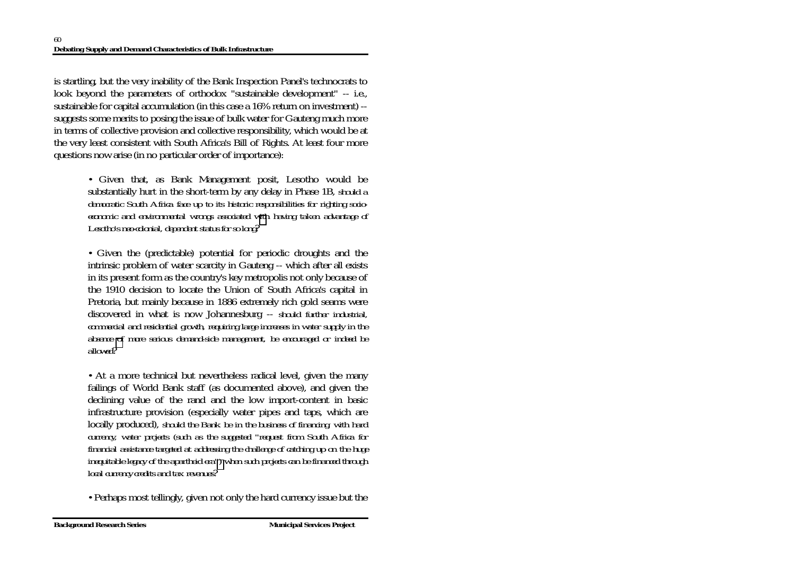is startling, but the very inability of the Bank Inspection Panel's technocrats to look beyond the parameters of orthodox "sustainable development" -- i.e., sustainable for capital accumulation (in this case a 16% return on investment) - suggests some merits to posing the issue of bulk water for Gauteng much more in terms of collective provision and collective responsibility, which would be at the very least consistent with South Africa's Bill of Rights. At least four more questions now arise (in no particular order of importance):

> • Given that, as Bank Management posit, Lesotho would be substantially hurt in the short-term by any delay in Phase 1B, *should a democratic South Africa face up to its historic responsibilities for righting socioeconomic and environmental wrongs associated [with](#page-75-0) having taken advantage of Lesotho's neo-colonial, dependent status for so long*?

> • Given the (predictable) potential for periodic droughts and the intrinsic problem of water scarcity in Gauteng -- which after all exists in its present form as the country's key metropolis not only because of the 1910 decision to locate the Union of South Africa's capital in Pretoria, but mainly because in 1886 extremely rich gold seams were discovered in what is now Johannesburg -- *should further industrial, commercial and residential growth, requiring large increases in water supply in the absence [of](#page-75-0) more serious demand-side management, be encouraged or indeed be allowed*?

> • At a more technical but nevertheless radical level, given the many failings of World Bank staff (as documented above), and given the declining value of the rand and the low import-content in basic infrastructure provision (especially water pipes and taps, which are locally produced), *should the Bank be in the business of financing, with hard currency, water projects (such as the suggested "request from South Africa for financial assistance targeted at addressing the challenge of catching up on the huge inequitable legacy of the apartheid era"[\)](#page-75-0) when such projects can be financed through local currency credits and tax revenues*?

> • Perhaps most tellingly, given not only the hard currency issue but the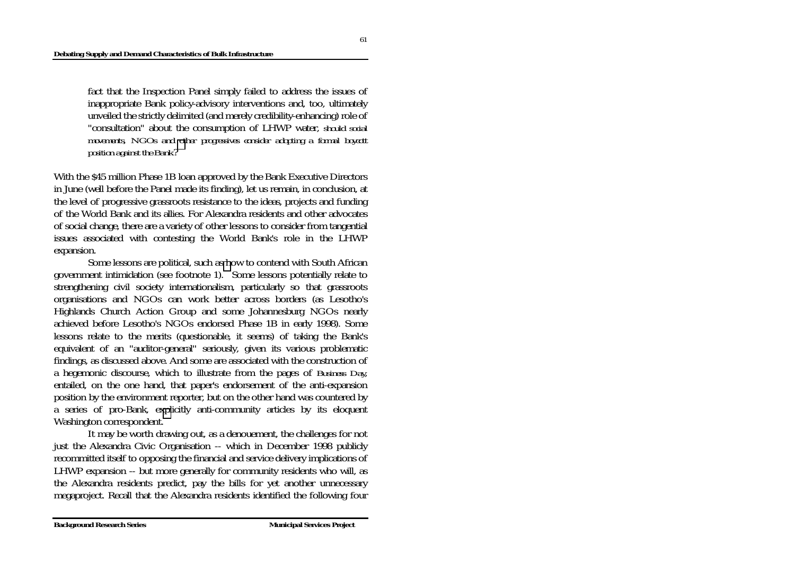fact that the Inspection Panel simply failed to address the issues of inappropriate Bank policy-advisory interventions and, too, ultimately unveiled the strictly delimited (and merely credibility-enhancing) role of "consultation" about the consumption of LHWP water, *should social movements, NGOs and [ot](#page-75-0)her progressives consider adopting a formal boycott position against the Bank*?

With the \$45 million Phase 1B loan approved by the Bank Executive Directors in June (well before the Panel made its finding), let us remain, in conclusion, at the level of progressive grassroots resistance to the ideas, projects and funding of the World Bank and its allies. For Alexandra residents and other advocates of social change, there are a variety of other lessons to consider from tangential issues associated with contesting the World Bank's role in the LHWP expansion.

 Some lessons are political, such as [h](#page-75-0)ow to contend with South African government intimidation (see footnote 1). Some lessons potentially relate to strengthening civil society internationalism, particularly so that grassroots organisations and NGOs can work better across borders (as Lesotho's Highlands Church Action Group and some Johannesburg NGOs nearly achieved before Lesotho's NGOs endorsed Phase 1B in early 1998). Some lessons relate to the merits (questionable, it seems) of taking the Bank's equivalent of an "auditor-general" seriously, given its various problematic findings, as discussed above. And some are associated with the construction of a hegemonic discourse, which to illustrate from the pages of *Business Day*, entailed, on the one hand, that paper's endorsement of the anti-expansion position by the environment reporter, but on the other hand was countered by a series of pro-Bank, e[xpl](#page-75-0)icitly anti-community articles by its eloquent Washington correspondent.

 It may be worth drawing out, as a denouement, the challenges for not just the Alexandra Civic Organisation -- which in December 1998 publicly recommitted itself to opposing the financial and service delivery implications of LHWP expansion -- but more generally for community residents who will, as the Alexandra residents predict, pay the bills for yet another unnecessary megaproject. Recall that the Alexandra residents identified the following four

61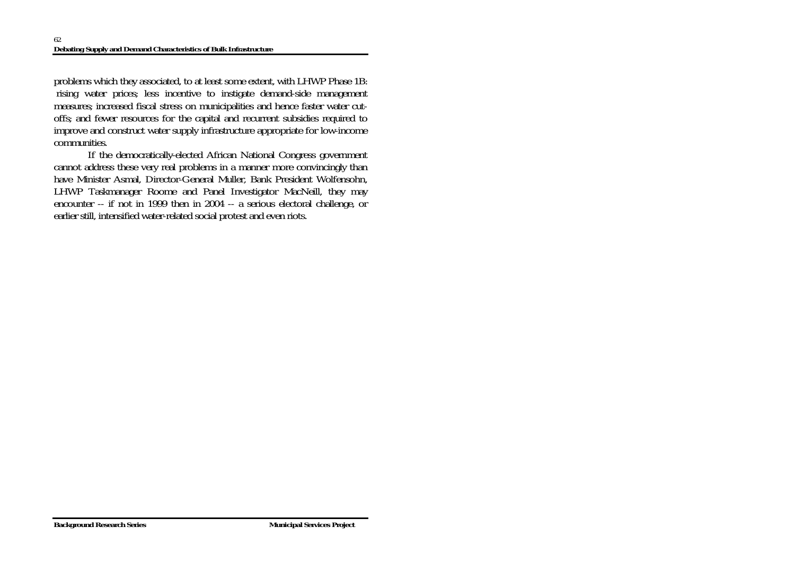problems which they associated, to at least some extent, with LHWP Phase 1B: rising water prices; less incentive to instigate demand-side management measures; increased fiscal stress on municipalities and hence faster water cutoffs; and fewer resources for the capital and recurrent subsidies required to improve and construct water supply infrastructure appropriate for low-income communities.

 If the democratically-elected African National Congress government cannot address these very real problems in a manner more convincingly than have Minister Asmal, Director-General Muller, Bank President Wolfensohn, LHWP Taskmanager Roome and Panel Investigator MacNeill, they may encounter -- if not in 1999 then in 2004 -- a serious electoral challenge, or earlier still, intensified water-related social protest and even riots.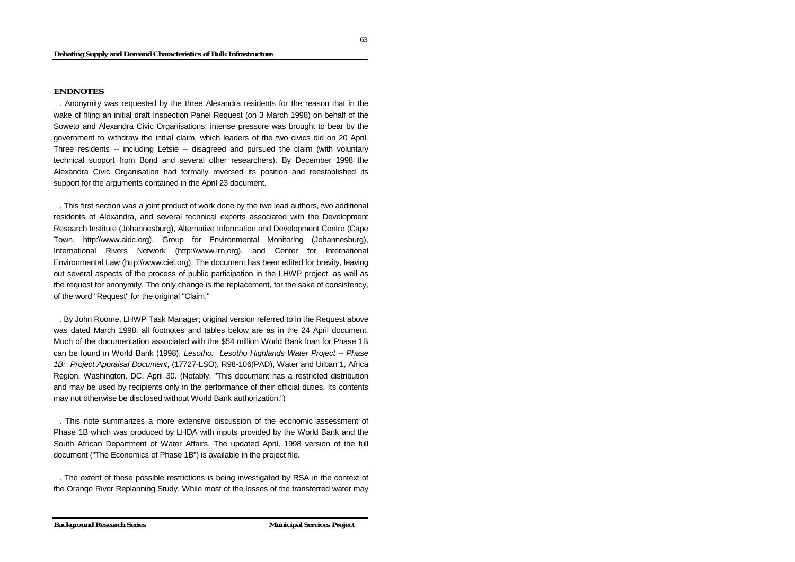#### **ENDNOTES**

 . Anonymity was requested by the three Alexandra residents for the reason that in the wake of filing an initial draft Inspection Panel Request (on 3 March 1998) on behalf of the Soweto and Alexandra Civic Organisations, intense pressure was brought to bear by the government to withdraw the initial claim, which leaders of the two civics did on 20 April. Three residents -- including Letsie -- disagreed and pursued the claim (with voluntary technical support from Bond and several other researchers). By December 1998 the Alexandra Civic Organisation had formally reversed its position and reestablished its support for the arguments contained in the April 23 document.

. This first section was a joint product of work done by the two lead authors, two additional residents of Alexandra, and several technical experts associated with the Development Research Institute (Johannesburg), Alternative Information and Development Centre (Cape Town, http:\\www.aidc.org), Group for Environmental Monitoring (Johannesburg), International Rivers Network (http:\\www.irn.org), and Center for International Environmental Law (http:\\www.ciel.org). The document has been edited for brevity, leaving out several aspects of the process of public participation in the LHWP project, as well as the request for anonymity. The only change is the replacement, for the sake of consistency, of the word "Request" for the original "Claim."

. By John Roome, LHWP Task Manager; original version referred to in the Request above was dated March 1998; all footnotes and tables below are as in the 24 April document. Much of the documentation associated with the \$54 million World Bank loan for Phase 1B can be found in World Bank (1998), *Lesotho: Lesotho Highlands Water Project -- Phase 1B: Project Appraisal Document*, (17727-LSO), R98-106(PAD), Water and Urban 1, Africa Region, Washington, DC, April 30. (Notably, "This document has a restricted distribution and may be used by recipients only in the performance of their official duties. Its contents may not otherwise be disclosed without World Bank authorization.")

. This note summarizes a more extensive discussion of the economic assessment of Phase 1B which was produced by LHDA with inputs provided by the World Bank and the South African Department of Water Affairs. The updated April, 1998 version of the full document ("The Economics of Phase 1B") is available in the project file.

 . The extent of these possible restrictions is being investigated by RSA in the context of the Orange River Replanning Study. While most of the losses of the transferred water may

63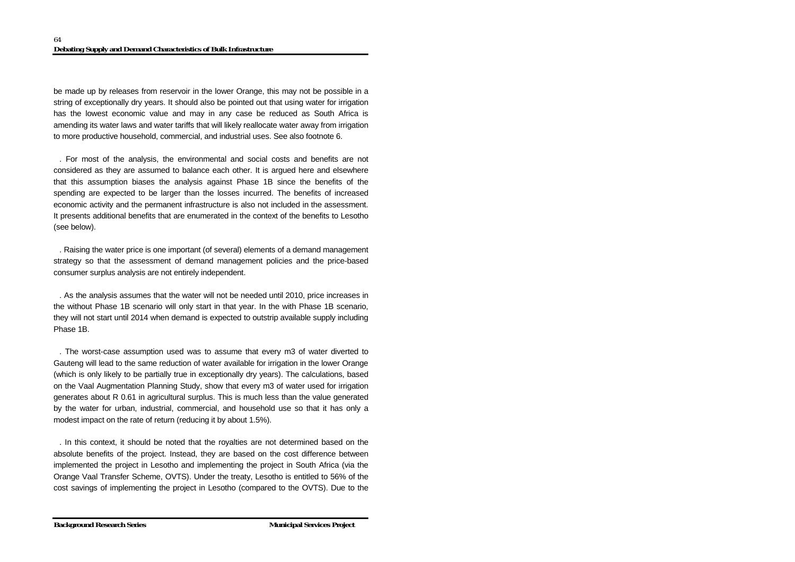be made up by releases from reservoir in the lower Orange, this may not be possible in a string of exceptionally dry years. It should also be pointed out that using water for irrigation has the lowest economic value and may in any case be reduced as South Africa is amending its water laws and water tariffs that will likely reallocate water away from irrigation to more productive household, commercial, and industrial uses. See also footnote 6.

. For most of the analysis, the environmental and social costs and benefits are not considered as they are assumed to balance each other. It is argued here and elsewhere that this assumption biases the analysis against Phase 1B since the benefits of the spending are expected to be larger than the losses incurred. The benefits of increased economic activity and the permanent infrastructure is also not included in the assessment. It presents additional benefits that are enumerated in the context of the benefits to Lesotho (see below).

 . Raising the water price is one important (of several) elements of a demand management strategy so that the assessment of demand management policies and the price-based consumer surplus analysis are not entirely independent.

. As the analysis assumes that the water will not be needed until 2010, price increases in the without Phase 1B scenario will only start in that year. In the with Phase 1B scenario, they will not start until 2014 when demand is expected to outstrip available supply including Phase 1B.

. The worst-case assumption used was to assume that every m3 of water diverted to Gauteng will lead to the same reduction of water available for irrigation in the lower Orange (which is only likely to be partially true in exceptionally dry years). The calculations, based on the Vaal Augmentation Planning Study, show that every m3 of water used for irrigation generates about R 0.61 in agricultural surplus. This is much less than the value generated by the water for urban, industrial, commercial, and household use so that it has only a modest impact on the rate of return (reducing it by about 1.5%).

. In this context, it should be noted that the royalties are not determined based on the absolute benefits of the project. Instead, they are based on the cost difference between implemented the project in Lesotho and implementing the project in South Africa (via the Orange Vaal Transfer Scheme, OVTS). Under the treaty, Lesotho is entitled to 56% of the cost savings of implementing the project in Lesotho (compared to the OVTS). Due to the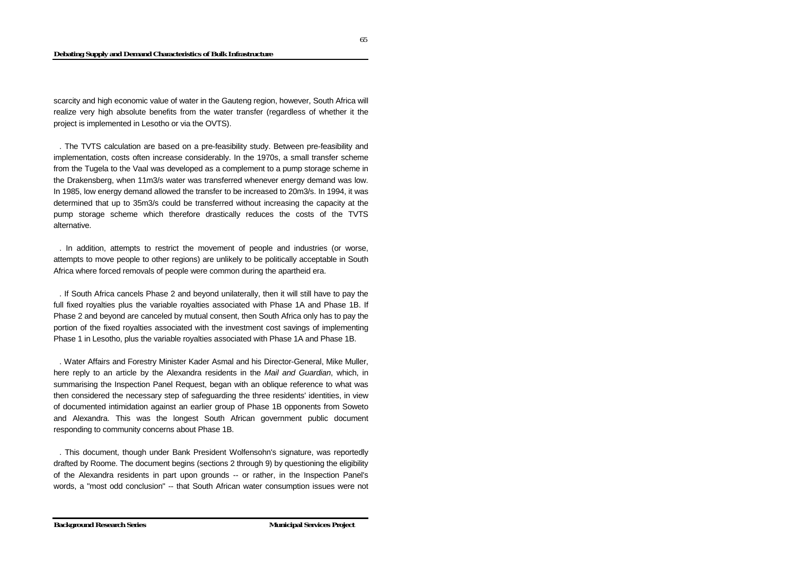scarcity and high economic value of water in the Gauteng region, however, South Africa will realize very high absolute benefits from the water transfer (regardless of whether it the project is implemented in Lesotho or via the OVTS).

. The TVTS calculation are based on a pre-feasibility study. Between pre-feasibility and implementation, costs often increase considerably. In the 1970s, a small transfer scheme from the Tugela to the Vaal was developed as a complement to a pump storage scheme in the Drakensberg, when 11m3/s water was transferred whenever energy demand was low. In 1985, low energy demand allowed the transfer to be increased to 20m3/s. In 1994, it was determined that up to 35m3/s could be transferred without increasing the capacity at the pump storage scheme which therefore drastically reduces the costs of the TVTS alternative.

. In addition, attempts to restrict the movement of people and industries (or worse, attempts to move people to other regions) are unlikely to be politically acceptable in South Africa where forced removals of people were common during the apartheid era.

. If South Africa cancels Phase 2 and beyond unilaterally, then it will still have to pay the full fixed royalties plus the variable royalties associated with Phase 1A and Phase 1B. If Phase 2 and beyond are canceled by mutual consent, then South Africa only has to pay the portion of the fixed royalties associated with the investment cost savings of implementing Phase 1 in Lesotho, plus the variable royalties associated with Phase 1A and Phase 1B.

. Water Affairs and Forestry Minister Kader Asmal and his Director-General, Mike Muller, here reply to an article by the Alexandra residents in the *Mail and Guardian*, which, in summarising the Inspection Panel Request, began with an oblique reference to what was then considered the necessary step of safeguarding the three residents' identities, in view of documented intimidation against an earlier group of Phase 1B opponents from Soweto and Alexandra. This was the longest South African government public document responding to community concerns about Phase 1B.

. This document, though under Bank President Wolfensohn's signature, was reportedly drafted by Roome. The document begins (sections 2 through 9) by questioning the eligibility of the Alexandra residents in part upon grounds -- or rather, in the Inspection Panel's words, a "most odd conclusion" -- that South African water consumption issues were not

**Background Research Series Municipal Services Project Municipal Services Project**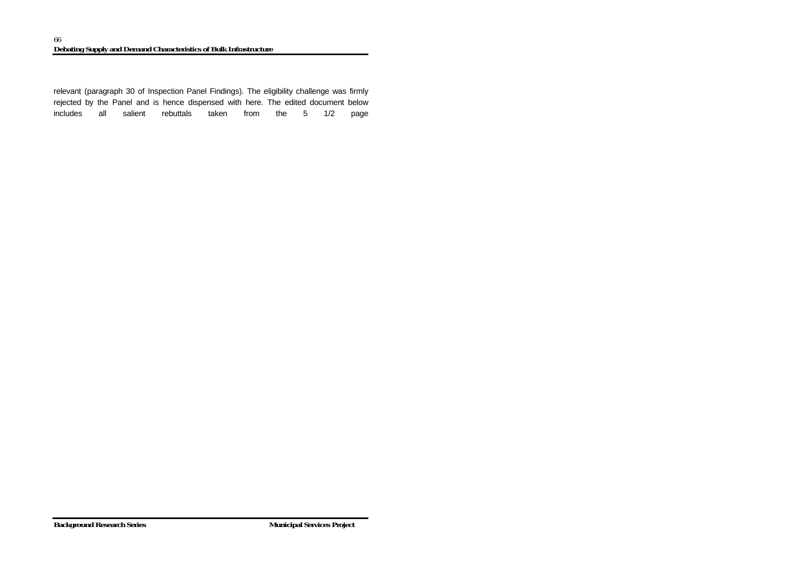relevant (paragraph 30 of Inspection Panel Findings). The eligibility challenge was firmly rejected by the Panel and is hence dispensed with here. The edited document below includes all salient rebuttals taken from the 5 1/2 page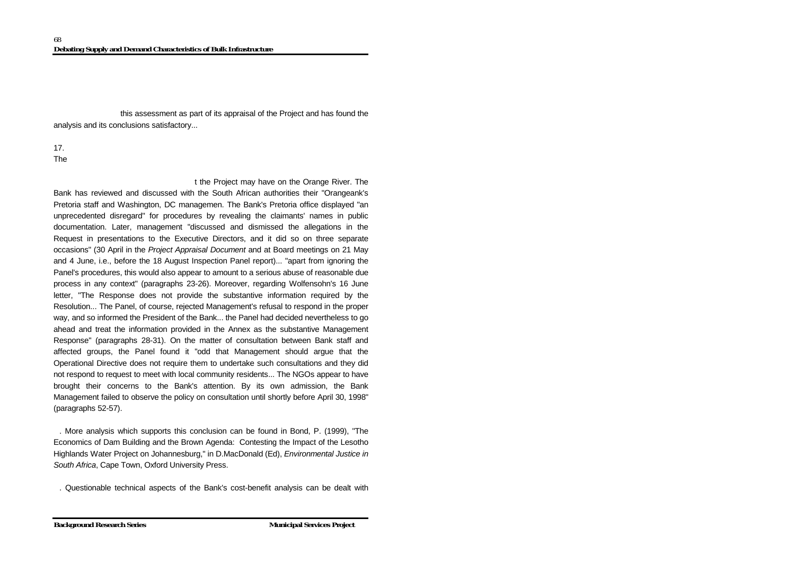this assessment as part of its appraisal of the Project and has found the analysis and its conclusions satisfactory...

17. The contract of the contract of the contract of the contract of the contract of the contract of the contract of the contract of the contract of the contract of the contract of the contract of the contract of the contract o

t the Project may have on the Orange River. The

Bank has reviewed and discussed with the South African authorities their "Orangeank's Pretoria staff and Washington, DC managemen. The Bank's Pretoria office displayed "an unprecedented disregard" for procedures by revealing the claimants' names in public documentation. Later, management "discussed and dismissed the allegations in the Request in presentations to the Executive Directors, and it did so on three separate occasions" (30 April in the *Project Appraisal Document* and at Board meetings on 21 May and 4 June, i.e., before the 18 August Inspection Panel report)... "apart from ignoring the Panel's procedures, this would also appear to amount to a serious abuse of reasonable due process in any context" (paragraphs 23-26). Moreover, regarding Wolfensohn's 16 June letter, "The Response does not provide the substantive information required by the Resolution... The Panel, of course, rejected Management's refusal to respond in the proper way, and so informed the President of the Bank... the Panel had decided nevertheless to go ahead and treat the information provided in the Annex as the substantive Management Response" (paragraphs 28-31). On the matter of consultation between Bank staff and affected groups, the Panel found it "odd that Management should argue that the Operational Directive does not require them to undertake such consultations and they did not respond to request to meet with local community residents... The NGOs appear to have brought their concerns to the Bank's attention. By its own admission, the Bank Management failed to observe the policy on consultation until shortly before April 30, 1998" (paragraphs 52-57).

. More analysis which supports this conclusion can be found in Bond, P. (1999), "The Economics of Dam Building and the Brown Agenda: Contesting the Impact of the Lesotho Highlands Water Project on Johannesburg," in D.MacDonald (Ed), *Environmental Justice in South Africa*, Cape Town, Oxford University Press.

. Questionable technical aspects of the Bank's cost-benefit analysis can be dealt with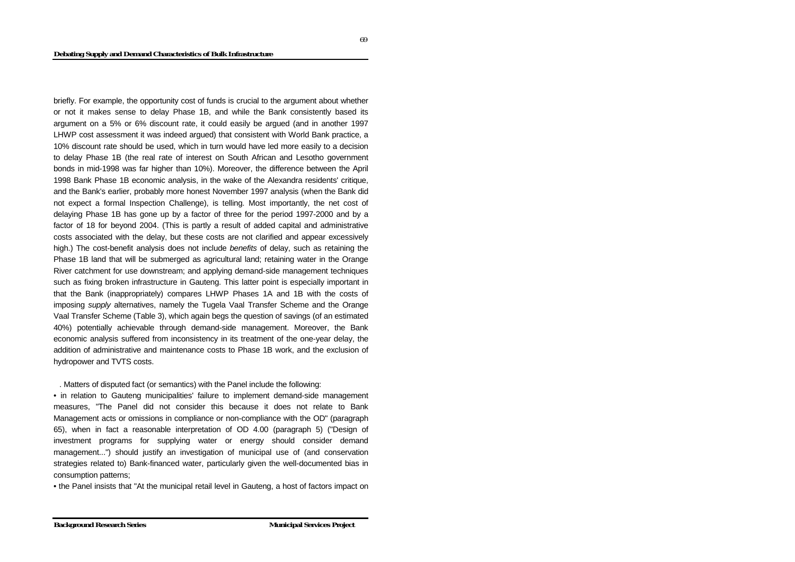briefly. For example, the opportunity cost of funds is crucial to the argument about whether or not it makes sense to delay Phase 1B, and while the Bank consistently based its argument on a 5% or 6% discount rate, it could easily be argued (and in another 1997 LHWP cost assessment it was indeed argued) that consistent with World Bank practice, a 10% discount rate should be used, which in turn would have led more easily to a decision to delay Phase 1B (the real rate of interest on South African and Lesotho government bonds in mid-1998 was far higher than 10%). Moreover, the difference between the April 1998 Bank Phase 1B economic analysis, in the wake of the Alexandra residents' critique, and the Bank's earlier, probably more honest November 1997 analysis (when the Bank did not expect a formal Inspection Challenge), is telling. Most importantly, the net cost of delaying Phase 1B has gone up by a factor of three for the period 1997-2000 and by a factor of 18 for beyond 2004. (This is partly a result of added capital and administrative costs associated with the delay, but these costs are not clarified and appear excessively high.) The cost-benefit analysis does not include *benefits* of delay, such as retaining the Phase 1B land that will be submerged as agricultural land; retaining water in the Orange River catchment for use downstream; and applying demand-side management techniques such as fixing broken infrastructure in Gauteng. This latter point is especially important in that the Bank (inappropriately) compares LHWP Phases 1A and 1B with the costs of imposing *supply* alternatives, namely the Tugela Vaal Transfer Scheme and the Orange Vaal Transfer Scheme (Table 3), which again begs the question of savings (of an estimated 40%) potentially achievable through demand-side management. Moreover, the Bank economic analysis suffered from inconsistency in its treatment of the one-year delay, the addition of administrative and maintenance costs to Phase 1B work, and the exclusion of hydropower and TVTS costs.

#### . Matters of disputed fact (or semantics) with the Panel include the following:

• in relation to Gauteng municipalities' failure to implement demand-side management measures, "The Panel did not consider this because it does not relate to Bank Management acts or omissions in compliance or non-compliance with the OD" (paragraph 65), when in fact a reasonable interpretation of OD 4.00 (paragraph 5) ("Design of investment programs for supplying water or energy should consider demand management...") should justify an investigation of municipal use of (and conservation strategies related to) Bank-financed water, particularly given the well-documented bias in consumption patterns;

• the Panel insists that "At the municipal retail level in Gauteng, a host of factors impact on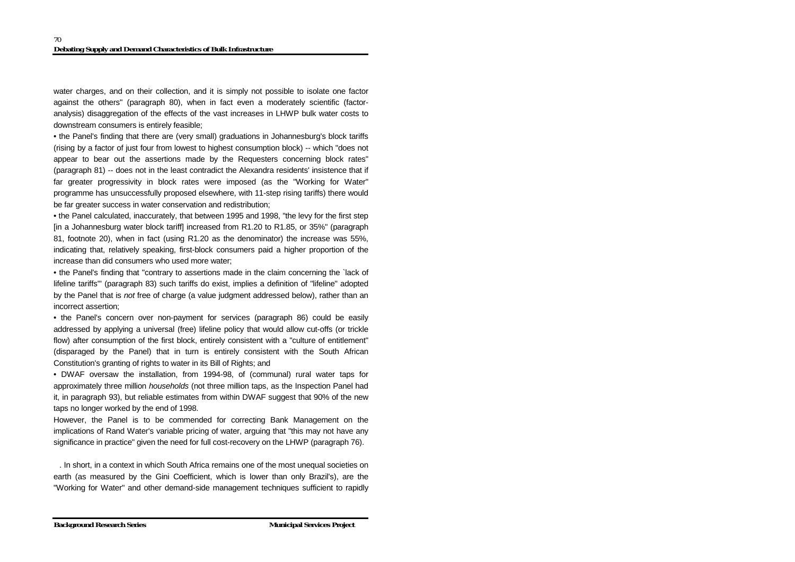water charges, and on their collection, and it is simply not possible to isolate one factor against the others" (paragraph 80), when in fact even a moderately scientific (factoranalysis) disaggregation of the effects of the vast increases in LHWP bulk water costs to downstream consumers is entirely feasible;

• the Panel's finding that there are (very small) graduations in Johannesburg's block tariffs (rising by a factor of just four from lowest to highest consumption block) -- which "does not appear to bear out the assertions made by the Requesters concerning block rates" (paragraph 81) -- does not in the least contradict the Alexandra residents' insistence that if far greater progressivity in block rates were imposed (as the "Working for Water" programme has unsuccessfully proposed elsewhere, with 11-step rising tariffs) there would be far greater success in water conservation and redistribution;

• the Panel calculated, inaccurately, that between 1995 and 1998, "the levy for the first step [in a Johannesburg water block tariff] increased from R1.20 to R1.85, or 35%" (paragraph 81, footnote 20), when in fact (using R1.20 as the denominator) the increase was 55%, indicating that, relatively speaking, first-block consumers paid a higher proportion of the increase than did consumers who used more water;

• the Panel's finding that "contrary to assertions made in the claim concerning the `lack of lifeline tariffs'" (paragraph 83) such tariffs do exist, implies a definition of "lifeline" adopted by the Panel that is *not* free of charge (a value judgment addressed below), rather than an incorrect assertion;

• the Panel's concern over non-payment for services (paragraph 86) could be easily addressed by applying a universal (free) lifeline policy that would allow cut-offs (or trickle flow) after consumption of the first block, entirely consistent with a "culture of entitlement" (disparaged by the Panel) that in turn is entirely consistent with the South African Constitution's granting of rights to water in its Bill of Rights; and

• DWAF oversaw the installation, from 1994-98, of (communal) rural water taps for approximately three million *households* (not three million taps, as the Inspection Panel had it, in paragraph 93), but reliable estimates from within DWAF suggest that 90% of the new taps no longer worked by the end of 1998.

However, the Panel is to be commended for correcting Bank Management on the implications of Rand Water's variable pricing of water, arguing that "this may not have any significance in practice" given the need for full cost-recovery on the LHWP (paragraph 76).

. In short, in a context in which South Africa remains one of the most unequal societies on earth (as measured by the Gini Coefficient, which is lower than only Brazil's), are the "Working for Water" and other demand-side management techniques sufficient to rapidly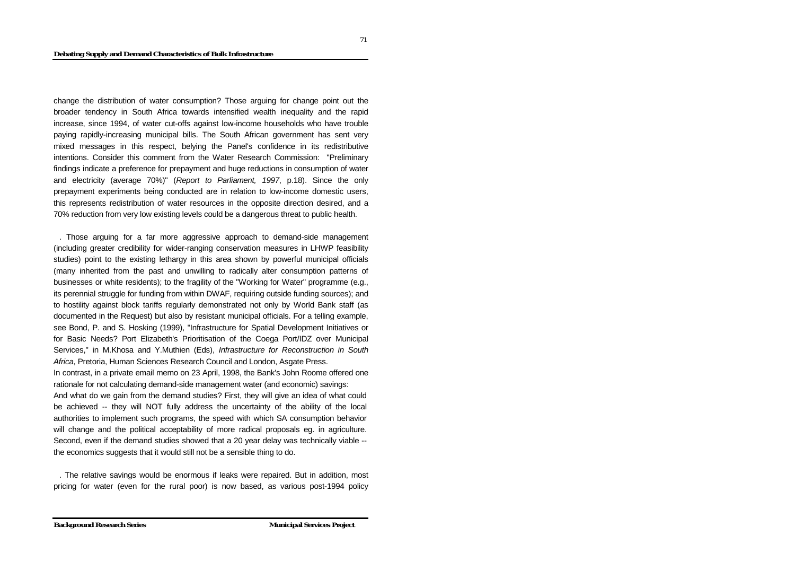change the distribution of water consumption? Those arguing for change point out the broader tendency in South Africa towards intensified wealth inequality and the rapid increase, since 1994, of water cut-offs against low-income households who have trouble paying rapidly-increasing municipal bills. The South African government has sent very mixed messages in this respect, belying the Panel's confidence in its redistributive intentions. Consider this comment from the Water Research Commission: "Preliminary findings indicate a preference for prepayment and huge reductions in consumption of water and electricity (average 70%)" (*Report to Parliament, 1997*, p.18). Since the only prepayment experiments being conducted are in relation to low-income domestic users, this represents redistribution of water resources in the opposite direction desired, and a 70% reduction from very low existing levels could be a dangerous threat to public health.

. Those arguing for a far more aggressive approach to demand-side management (including greater credibility for wider-ranging conservation measures in LHWP feasibility studies) point to the existing lethargy in this area shown by powerful municipal officials (many inherited from the past and unwilling to radically alter consumption patterns of businesses or white residents); to the fragility of the "Working for Water" programme (e.g., its perennial struggle for funding from within DWAF, requiring outside funding sources); and to hostility against block tariffs regularly demonstrated not only by World Bank staff (as documented in the Request) but also by resistant municipal officials. For a telling example, see Bond, P. and S. Hosking (1999), "Infrastructure for Spatial Development Initiatives or for Basic Needs? Port Elizabeth's Prioritisation of the Coega Port/IDZ over Municipal Services," in M.Khosa and Y.Muthien (Eds), *Infrastructure for Reconstruction in South Africa*, Pretoria, Human Sciences Research Council and London, Asgate Press. In contrast, in a private email memo on 23 April, 1998, the Bank's John Roome offered one rationale for not calculating demand-side management water (and economic) savings: And what do we gain from the demand studies? First, they will give an idea of what could be achieved -- they will NOT fully address the uncertainty of the ability of the local authorities to implement such programs, the speed with which SA consumption behavior will change and the political acceptability of more radical proposals eg. in agriculture. Second, even if the demand studies showed that a 20 year delay was technically viable - the economics suggests that it would still not be a sensible thing to do.

 . The relative savings would be enormous if leaks were repaired. But in addition, most pricing for water (even for the rural poor) is now based, as various post-1994 policy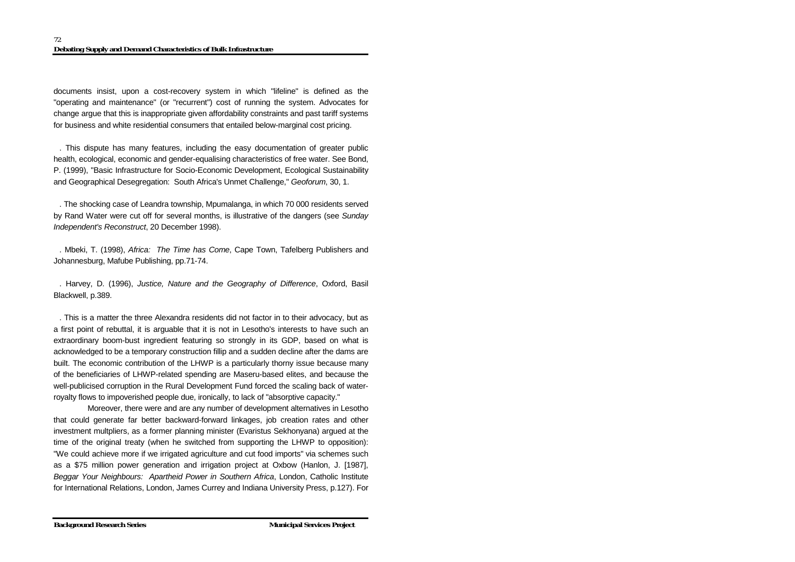documents insist, upon a cost-recovery system in which "lifeline" is defined as the "operating and maintenance" (or "recurrent") cost of running the system. Advocates for change argue that this is inappropriate given affordability constraints and past tariff systems for business and white residential consumers that entailed below-marginal cost pricing.

. This dispute has many features, including the easy documentation of greater public health, ecological, economic and gender-equalising characteristics of free water. See Bond, P. (1999), "Basic Infrastructure for Socio-Economic Development, Ecological Sustainability and Geographical Desegregation: South Africa's Unmet Challenge," *Geoforum*, 30, 1.

. The shocking case of Leandra township, Mpumalanga, in which 70 000 residents served by Rand Water were cut off for several months, is illustrative of the dangers (see *Sunday Independent's Reconstruct*, 20 December 1998).

. Mbeki, T. (1998), *Africa: The Time has Come*, Cape Town, Tafelberg Publishers and Johannesburg, Mafube Publishing, pp.71-74.

. Harvey, D. (1996), *Justice, Nature and the Geography of Difference*, Oxford, Basil Blackwell, p.389.

. This is a matter the three Alexandra residents did not factor in to their advocacy, but as a first point of rebuttal, it is arguable that it is not in Lesotho's interests to have such an extraordinary boom-bust ingredient featuring so strongly in its GDP, based on what is acknowledged to be a temporary construction fillip and a sudden decline after the dams are built. The economic contribution of the LHWP is a particularly thorny issue because many of the beneficiaries of LHWP-related spending are Maseru-based elites, and because the well-publicised corruption in the Rural Development Fund forced the scaling back of waterroyalty flows to impoverished people due, ironically, to lack of "absorptive capacity."

 Moreover, there were and are any number of development alternatives in Lesotho that could generate far better backward-forward linkages, job creation rates and other investment multpliers, as a former planning minister (Evaristus Sekhonyana) argued at the time of the original treaty (when he switched from supporting the LHWP to opposition): "We could achieve more if we irrigated agriculture and cut food imports" via schemes such as a \$75 million power generation and irrigation project at Oxbow (Hanlon, J. [1987], *Beggar Your Neighbours: Apartheid Power in Southern Africa*, London, Catholic Institute for International Relations, London, James Currey and Indiana University Press, p.127). For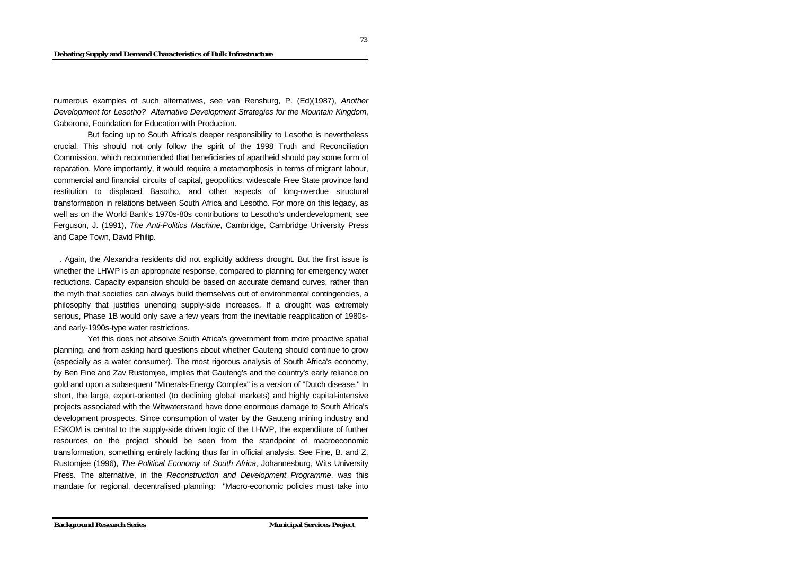numerous examples of such alternatives, see van Rensburg, P. (Ed)(1987), *Another Development for Lesotho? Alternative Development Strategies for the Mountain Kingdom*, Gaberone, Foundation for Education with Production.

 But facing up to South Africa's deeper responsibility to Lesotho is nevertheless crucial. This should not only follow the spirit of the 1998 Truth and Reconciliation Commission, which recommended that beneficiaries of apartheid should pay some form of reparation. More importantly, it would require a metamorphosis in terms of migrant labour, commercial and financial circuits of capital, geopolitics, widescale Free State province land restitution to displaced Basotho, and other aspects of long-overdue structural transformation in relations between South Africa and Lesotho. For more on this legacy, as well as on the World Bank's 1970s-80s contributions to Lesotho's underdevelopment, see Ferguson, J. (1991), *The Anti-Politics Machine*, Cambridge, Cambridge University Press and Cape Town, David Philip.

. Again, the Alexandra residents did not explicitly address drought. But the first issue is whether the LHWP is an appropriate response, compared to planning for emergency water reductions. Capacity expansion should be based on accurate demand curves, rather than the myth that societies can always build themselves out of environmental contingencies, a philosophy that justifies unending supply-side increases. If a drought was extremely serious, Phase 1B would only save a few years from the inevitable reapplication of 1980sand early-1990s-type water restrictions.

 Yet this does not absolve South Africa's government from more proactive spatial planning, and from asking hard questions about whether Gauteng should continue to grow (especially as a water consumer). The most rigorous analysis of South Africa's economy, by Ben Fine and Zav Rustomjee, implies that Gauteng's and the country's early reliance on gold and upon a subsequent "Minerals-Energy Complex" is a version of "Dutch disease." In short, the large, export-oriented (to declining global markets) and highly capital-intensive projects associated with the Witwatersrand have done enormous damage to South Africa's development prospects. Since consumption of water by the Gauteng mining industry and ESKOM is central to the supply-side driven logic of the LHWP, the expenditure of further resources on the project should be seen from the standpoint of macroeconomic transformation, something entirely lacking thus far in official analysis. See Fine, B. and Z. Rustomjee (1996), *The Political Economy of South Africa*, Johannesburg, Wits University Press. The alternative, in the *Reconstruction and Development Programme*, was this mandate for regional, decentralised planning: "Macro-economic policies must take into

**Background Research Series Municipal Services Project Municipal Services Project**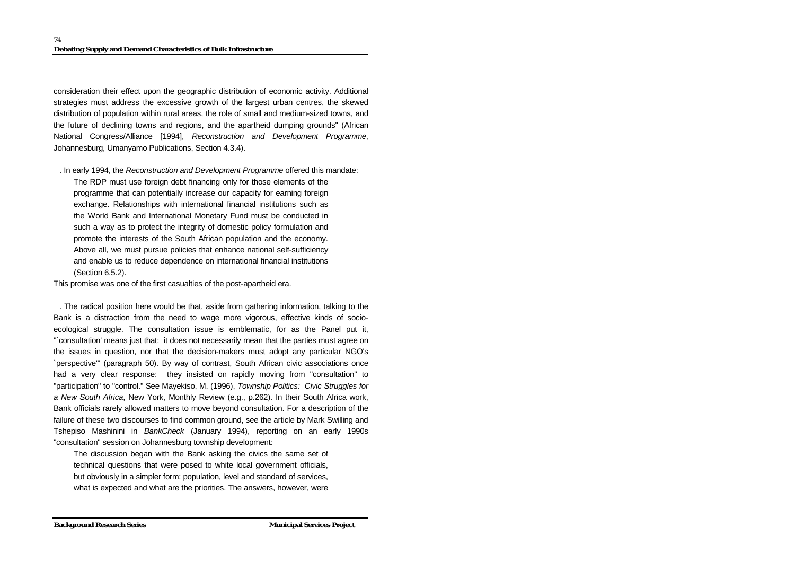consideration their effect upon the geographic distribution of economic activity. Additional strategies must address the excessive growth of the largest urban centres, the skewed distribution of population within rural areas, the role of small and medium-sized towns, and the future of declining towns and regions, and the apartheid dumping grounds" (African National Congress/Alliance [1994], *Reconstruction and Development Programme*, Johannesburg, Umanyamo Publications, Section 4.3.4).

. In early 1994, the *Reconstruction and Development Programme* offered this mandate:

The RDP must use foreign debt financing only for those elements of the programme that can potentially increase our capacity for earning foreign exchange. Relationships with international financial institutions such as the World Bank and International Monetary Fund must be conducted in such a way as to protect the integrity of domestic policy formulation and promote the interests of the South African population and the economy. Above all, we must pursue policies that enhance national self-sufficiency and enable us to reduce dependence on international financial institutions (Section 6.5.2).

This promise was one of the first casualties of the post-apartheid era.

 . The radical position here would be that, aside from gathering information, talking to the Bank is a distraction from the need to wage more vigorous, effective kinds of socioecological struggle. The consultation issue is emblematic, for as the Panel put it, "`consultation' means just that: it does not necessarily mean that the parties must agree on the issues in question, nor that the decision-makers must adopt any particular NGO's `perspective'" (paragraph 50). By way of contrast, South African civic associations once had a very clear response: they insisted on rapidly moving from "consultation" to "participation" to "control." See Mayekiso, M. (1996), *Township Politics: Civic Struggles for a New South Africa*, New York, Monthly Review (e.g., p.262). In their South Africa work, Bank officials rarely allowed matters to move beyond consultation. For a description of the failure of these two discourses to find common ground, see the article by Mark Swilling and Tshepiso Mashinini in *BankCheck* (January 1994), reporting on an early 1990s "consultation" session on Johannesburg township development:

The discussion began with the Bank asking the civics the same set of technical questions that were posed to white local government officials, but obviously in a simpler form: population, level and standard of services, what is expected and what are the priorities. The answers, however, were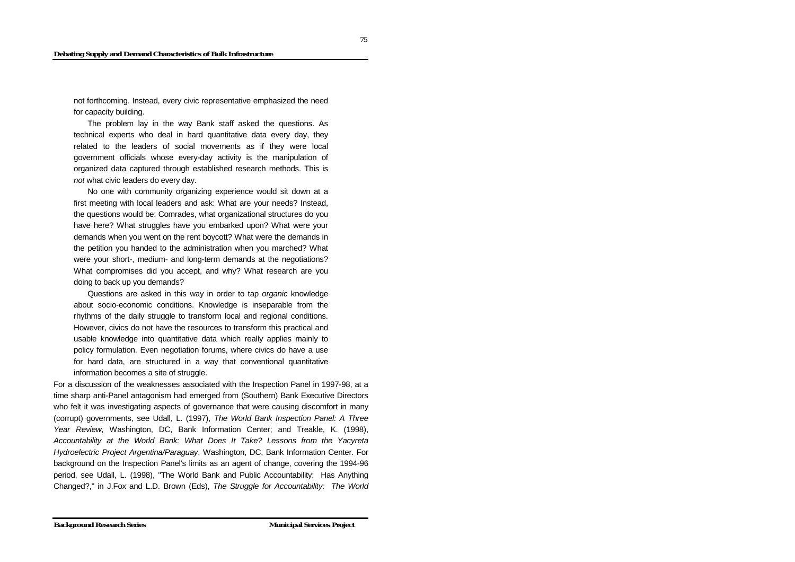not forthcoming. Instead, every civic representative emphasized the need for capacity building.

 The problem lay in the way Bank staff asked the questions. As technical experts who deal in hard quantitative data every day, they related to the leaders of social movements as if they were local government officials whose every-day activity is the manipulation of organized data captured through established research methods. This is *not* what civic leaders do every day.

 No one with community organizing experience would sit down at a first meeting with local leaders and ask: What are your needs? Instead, the questions would be: Comrades, what organizational structures do you have here? What struggles have you embarked upon? What were your demands when you went on the rent boycott? What were the demands in the petition you handed to the administration when you marched? What were your short-, medium- and long-term demands at the negotiations? What compromises did you accept, and why? What research are you doing to back up you demands?

 Questions are asked in this way in order to tap *organic* knowledge about socio-economic conditions. Knowledge is inseparable from the rhythms of the daily struggle to transform local and regional conditions. However, civics do not have the resources to transform this practical and usable knowledge into quantitative data which really applies mainly to policy formulation. Even negotiation forums, where civics do have a use for hard data, are structured in a way that conventional quantitative information becomes a site of struggle.

For a discussion of the weaknesses associated with the Inspection Panel in 1997-98, at a time sharp anti-Panel antagonism had emerged from (Southern) Bank Executive Directors who felt it was investigating aspects of governance that were causing discomfort in many (corrupt) governments, see Udall, L. (1997), *The World Bank Inspection Panel: A Three Year Review*, Washington, DC, Bank Information Center; and Treakle, K. (1998), *Accountability at the World Bank: What Does It Take? Lessons from the Yacyreta Hydroelectric Project Argentina/Paraguay*, Washington, DC, Bank Information Center. For background on the Inspection Panel's limits as an agent of change, covering the 1994-96 period, see Udall, L. (1998), "The World Bank and Public Accountability: Has Anything Changed?," in J.Fox and L.D. Brown (Eds), *The Struggle for Accountability: The World*